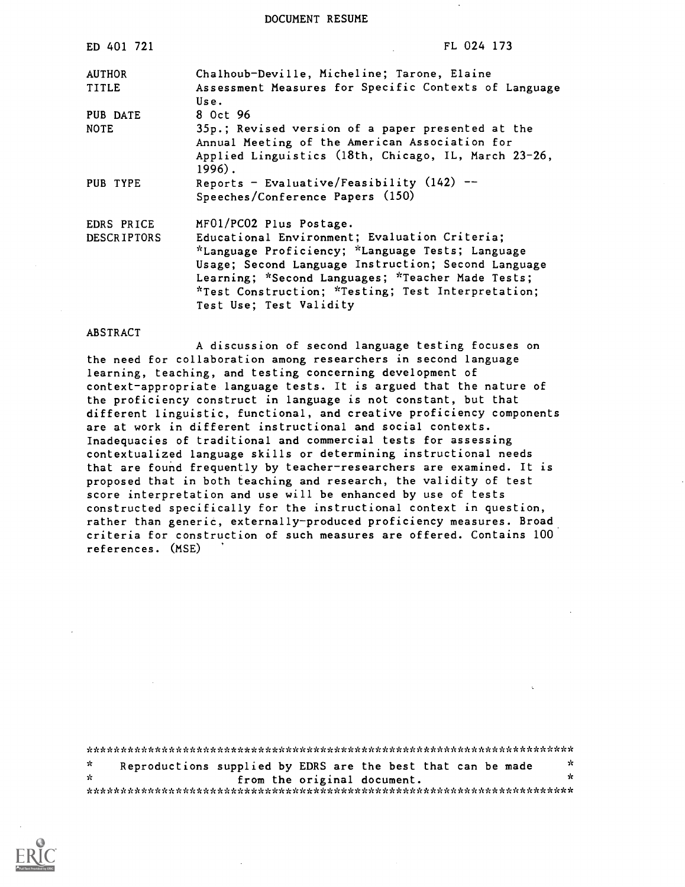DOCUMENT RESUME

| ED 401 721                    | FL 024 173                                                                                                                                                                                                                                                                                     |
|-------------------------------|------------------------------------------------------------------------------------------------------------------------------------------------------------------------------------------------------------------------------------------------------------------------------------------------|
| <b>AUTHOR</b><br><b>TITLE</b> | Chalhoub-Deville, Micheline; Tarone, Elaine<br>Assessment Measures for Specific Contexts of Language<br>Use.                                                                                                                                                                                   |
| PUB DATE<br><b>NOTE</b>       | 8 Oct 96<br>35p.; Revised version of a paper presented at the<br>Annual Meeting of the American Association for                                                                                                                                                                                |
|                               | Applied Linguistics (18th, Chicago, IL, March 23-26,<br>$1996$ .                                                                                                                                                                                                                               |
| PUB TYPE                      | Reports - Evaluative/Feasibility $(142)$ --<br>Speeches/Conference Papers (150)                                                                                                                                                                                                                |
| EDRS PRICE                    | MF01/PC02 Plus Postage.                                                                                                                                                                                                                                                                        |
| <b>DESCRIPTORS</b>            | Educational Environment; Evaluation Criteria;<br>*Language Proficiency; *Language Tests; Language<br>Usage; Second Language Instruction; Second Language<br>Learning; *Second Languages; *Teacher Made Tests;<br>*Test Construction; *Testing; Test Interpretation;<br>Test Use; Test Validity |

#### ABSTRACT

A discussion of second language testing focuses on the need for collaboration among researchers in second language learning, teaching, and testing concerning development of context-appropriate language tests. It is argued that the nature of the proficiency construct in language is not constant, but that different linguistic, functional, and creative proficiency components are at work in different instructional and social contexts. Inadequacies of traditional and commercial tests for assessing contextualized language skills or determining instructional needs that are found frequently by teacher-researchers are examined. It is proposed that in both teaching and research, the validity of test score interpretation and use will be enhanced by use of tests constructed specifically for the instructional context in question, rather than generic, externally-produced proficiency measures. Broad criteria for construction of such measures are offered. Contains 100 references. (MSE)

\*\*\*\*\*\*\*\*\*\*\*\*\*\*\*\*\*\*\*\*\*\*\*\*\*\*\*\*\*\*\*\*\*\*\*\*\*\*\*\*\*\*\*\*\*\*\*\*\*\*\*\*\*\*\*\*\*\*\*\*\*\*\*\*\*\*\*\*\*\*\* Reproductions supplied by EDRS are the best that can be made  $\frac{x}{x}$  $\mathcal{H}$ from the original document. \*\*\*\*\*\*\*\*\*\*\*\*\*\*\*\*\*\*\*\*\*\*\*\*\*\*\*\*\*\*\*\*\*\*\*\*\*\*\*\*\*\*\*\*\*\*\*\*\*\*\*\*\*\*\*\*\*\*\*\*\*\*\*\*\*\*\*\*

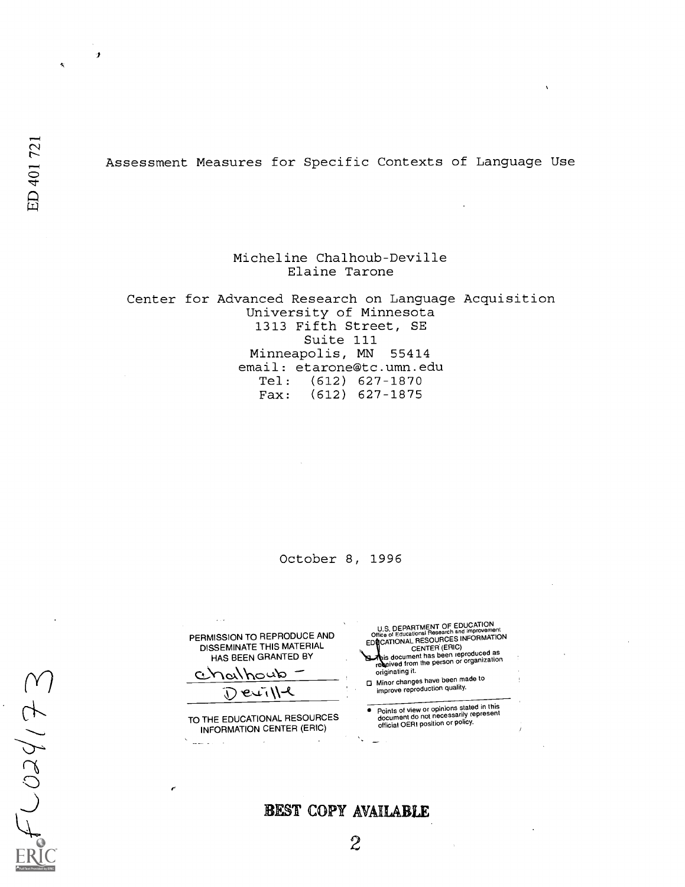fi

#### Assessment Measures for Specific Contexts of Language Use

Micheline Chalhoub-Deville Elaine Tarone

Center for Advanced Research on Language Acquisition University of Minnesota 1313 Fifth Street, SE Suite 111 Minneapolis, MN 55414 email: etarone@tc.umn.edu Tel: (612) 627-1870 Fax: (612) 627-1875

October 8, 1996

PERMISSION TO REPRODUCE AND DISSEMINATE THIS MATERIAL HAS BEEN GRANTED BY

Chalhoub Deville

r

الداسية  $\sim$ 

TO THE EDUCATIONAL RESOURCES INFORMATION CENTER (ERIC)  $\mathcal{L}$ 

U.S. DEPARTMENT OF EDUCATION<br>Office of Educational Research and Improvement<br>EDICATIONAL CENTER (ERIC)<br>CENTER (ERIC)

This document has been reproduced as<br>received from the person or organization originating it. Minor changes have been made to

improve reproduction quality.

Points of view or opinions stated in this document do not necessarily represent official OERI position or policy.

 $f024/72$ 

BEST COPY AVAILABLE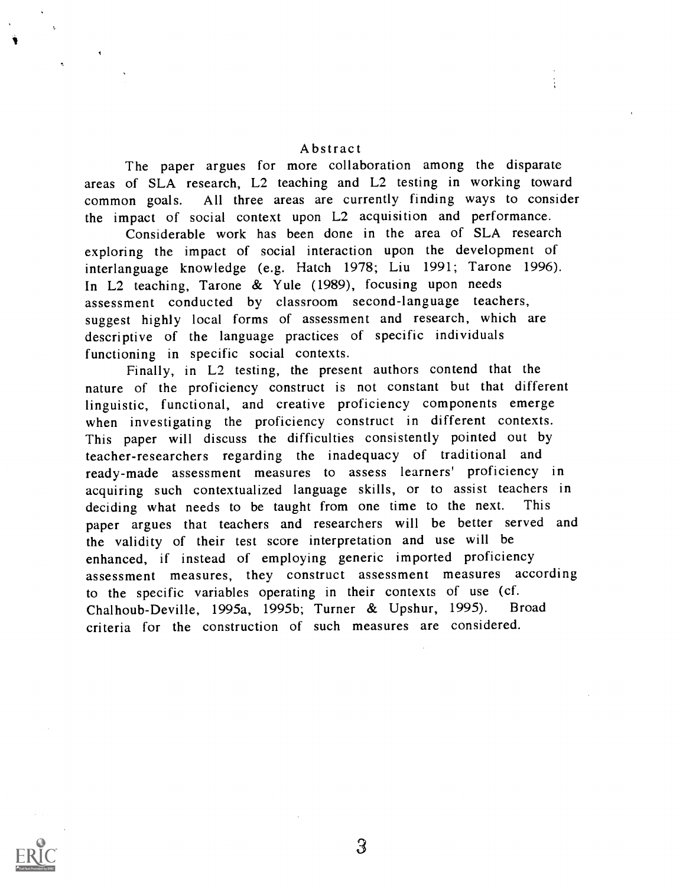#### Abstract

The paper argues for more collaboration among the disparate areas of SLA research, L2 teaching and L2 testing in working toward common goals. All three areas are currently finding ways to consider the impact of social context upon L2 acquisition and performance.

Considerable work has been done in the area of SLA research exploring the impact of social interaction upon the development of interlanguage knowledge (e.g. Hatch 1978; Liu 1991; Tarone 1996). In L2 teaching, Tarone & Yule (1989), focusing upon needs assessment conducted by classroom second-language teachers, suggest highly local forms of assessment and research, which are descriptive of the language practices of specific individuals functioning in specific social contexts.

Finally, in L2 testing, the present authors contend that the nature of the proficiency construct is not constant but that different linguistic, functional, and creative proficiency components emerge when investigating the proficiency construct in different contexts. This paper will discuss the difficulties consistently pointed out by teacher-researchers regarding the inadequacy of traditional and ready-made assessment measures to assess learners' proficiency in acquiring such contextualized language skills, or to assist teachers in deciding what needs to be taught from one time to the next. This paper argues that teachers and researchers will be better served and the validity of their test score interpretation and use will be enhanced, if instead of employing generic imported proficiency assessment measures, they construct assessment measures according to the specific variables operating in their contexts of use (cf. Chalhoub-Deville, 1995a, 1995b; Turner & Upshur, 1995). Broad criteria for the construction of such measures are considered.

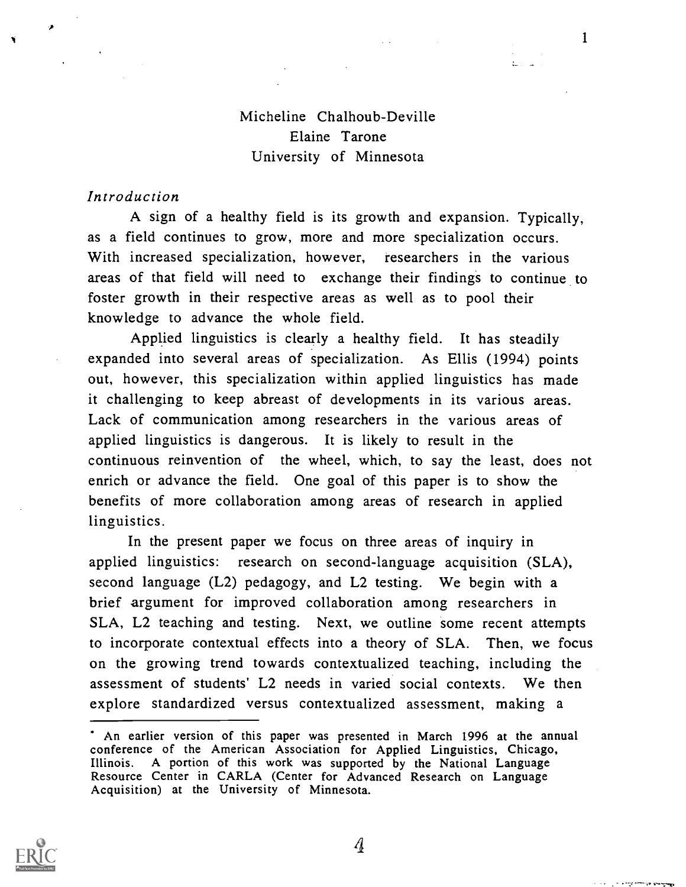# Micheline Chalhoub-Deville Elaine Tarone University of Minnesota

 $\mathbf{1}$ 

ومجوافيا فتتبع فيتراد والرابع

#### Introduction

A sign of a healthy field is its growth and expansion. Typically, as a field continues to grow, more and more specialization occurs. With increased specialization, however, researchers in the various areas of that field will need to exchange their findings to continue to foster growth in their respective areas as well as to pool their knowledge to advance the whole field.

Applied linguistics is clearly a healthy field. It has steadily expanded into several areas of specialization. As Ellis (1994) points out, however, this specialization within applied linguistics has made it challenging to keep abreast of developments in its various areas. Lack of communication among researchers in the various areas of applied linguistics is dangerous. It is likely to result in the continuous reinvention of the wheel, which, to say the least, does not enrich or advance the field. One goal of this paper is to show the benefits of more collaboration among areas of research in applied linguistics.

In the present paper we focus on three areas of inquiry in applied linguistics: research on second-language acquisition (SLA), second language (L2) pedagogy, and L2 testing. We begin with a brief argument for improved collaboration among researchers in SLA, L2 teaching and testing. Next, we outline some recent attempts to incorporate contextual effects into a theory of SLA. Then, we focus on the growing trend towards contextualized teaching, including the assessment of students' L2 needs in varied social contexts. We then explore standardized versus contextualized assessment, making a



 $\mathcal{A}$ 

An earlier version of this paper was presented in March 1996 at the annual conference of the American Association for Applied Linguistics, Chicago, Illinois. A portion of this work was supported by the National Language Resource Center in CARLA (Center for Advanced Research on Language Acquisition) at the University of Minnesota.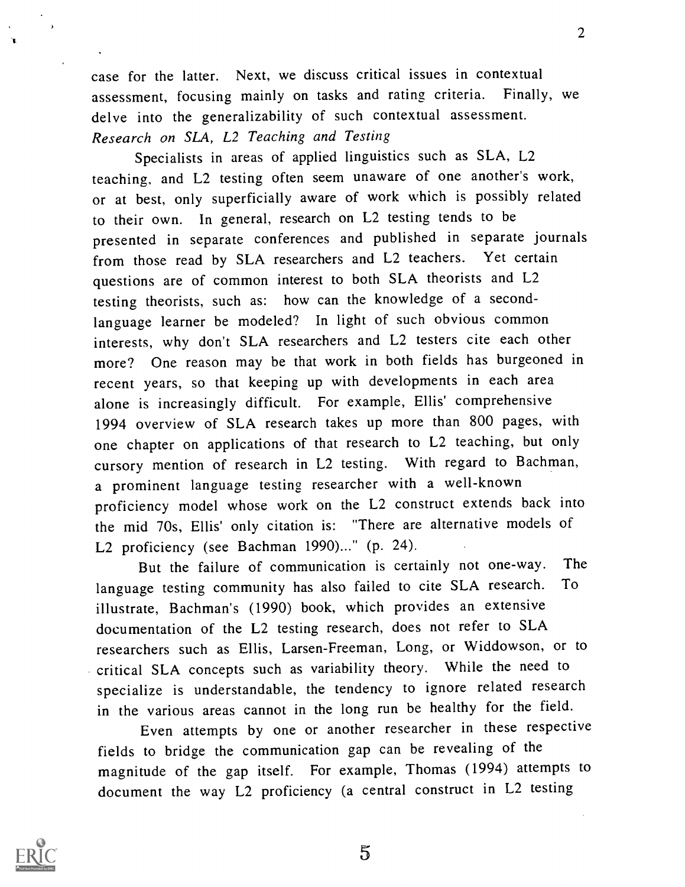case for the latter. Next, we discuss critical issues in contextual assessment, focusing mainly on tasks and rating criteria. Finally, we delve into the generalizability of such contextual assessment. Research on SLA, L2 Teaching and Testing

Specialists in areas of applied linguistics such as SLA, L2 teaching, and L2 testing often seem unaware of one another's work, or at best, only superficially aware of work which is possibly related to their own. In general, research on L2 testing tends to be presented in separate conferences and published in separate journals from those read by SLA researchers and L2 teachers. Yet certain questions are of common interest to both SLA theorists and L2 testing theorists, such as: how can the knowledge of a secondlanguage learner be modeled? In light of such obvious common interests, why don't SLA researchers and L2 testers cite each other more? One reason may be that work in both fields has burgeoned in recent years, so that keeping up with developments in each area alone is increasingly difficult. For example, Ellis' comprehensive 1994 overview of SLA research takes up more than 800 pages, with one chapter on applications of that research to L2 teaching, but only cursory mention of research in L2 testing. With regard to Bachman, a prominent language testing researcher with a well-known proficiency model whose work on the L2 construct extends back into the mid 70s, Ellis' only citation is: "There are alternative models of L2 proficiency (see Bachman 1990)..." (p. 24).

But the failure of communication is certainly not one-way. The language testing community has also failed to cite SLA research. To illustrate, Bachman's (1990) book, which provides an extensive documentation of the L2 testing research, does not refer to SLA researchers such as Ellis, Larsen-Freeman, Long, or Widdowson, or to critical SLA concepts such as variability theory. While the need to specialize is understandable, the tendency to ignore related research in the various areas cannot in the long run be healthy for the field.

Even attempts by one or another researcher in these respective fields to bridge the communication gap can be revealing of the magnitude of the gap itself. For example, Thomas (1994) attempts to document the way L2 proficiency (a central construct in L2 testing

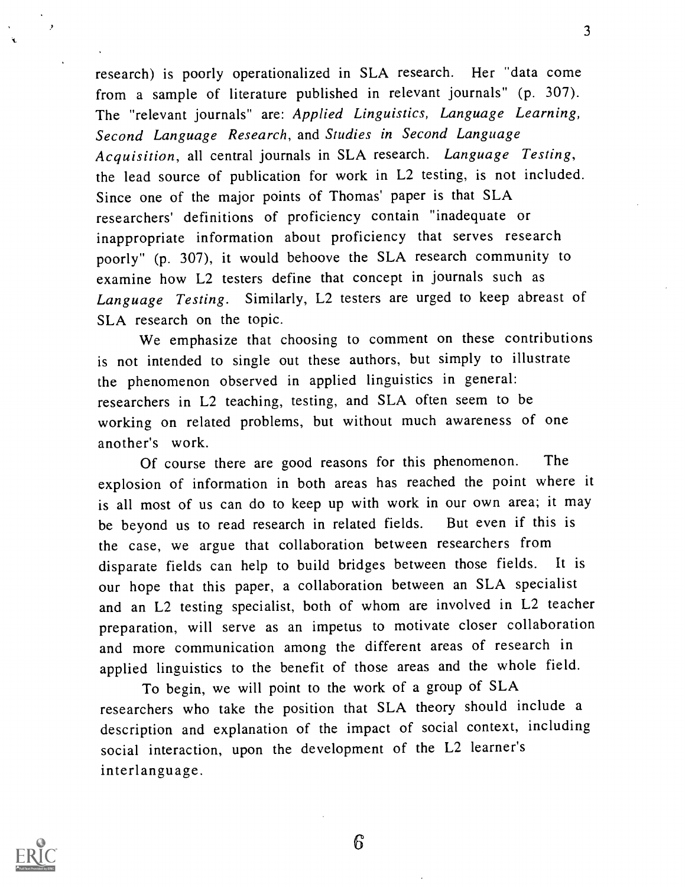research) is poorly operationalized in SLA research. Her "data come from a sample of literature published in relevant journals" (p. 307). The "relevant journals" are: Applied Linguistics, Language Learning, Second Language Research, and Studies in Second Language Acquisition, all central journals in SLA research. Language Testing, the lead source of publication for work in L2 testing, is not included. Since one of the major points of Thomas' paper is that SLA researchers' definitions of proficiency contain "inadequate or inappropriate information about proficiency that serves research poorly" (p. 307), it would behoove the SLA research community to examine how L2 testers define that concept in journals such as Language Testing. Similarly, L2 testers are urged to keep abreast of SLA research on the topic.

We emphasize that choosing to comment on these contributions is not intended to single out these authors, but simply to illustrate the phenomenon observed in applied linguistics in general: researchers in L2 teaching, testing, and SLA often seem to be working on related problems, but without much awareness of one another's work.

Of course there are good reasons for this phenomenon. The explosion of information in both areas has reached the point where it is all most of us can do to keep up with work in our own area; it may be beyond us to read research in related fields. But even if this is the case, we argue that collaboration between researchers from disparate fields can help to build bridges between those fields. It is our hope that this paper, a collaboration between an SLA specialist and an L2 testing specialist, both of whom are involved in L2 teacher preparation, will serve as an impetus to motivate closer collaboration and more communication among the different areas of research in applied linguistics to the benefit of those areas and the whole field.

To begin, we will point to the work of a group of SLA researchers who take the position that SLA theory should include a description and explanation of the impact of social context, including social interaction, upon the development of the L2 learner's interlanguage.



6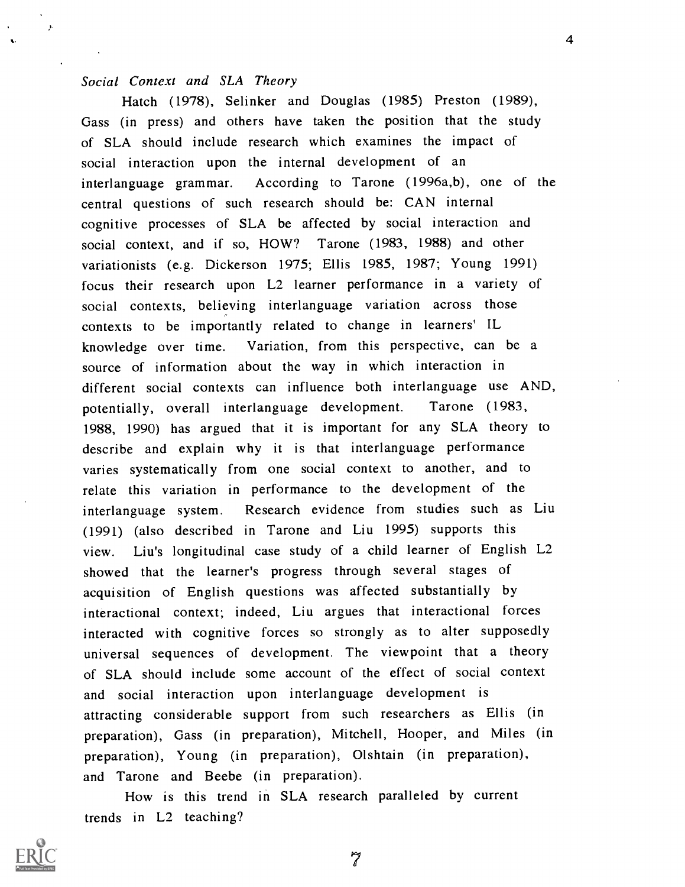#### Social Context and SLA Theory

 $\overline{\phantom{a}}$ 

Hatch (1978), Selinker and Douglas (1985) Preston (1989), Gass (in press) and others have taken the position that the study of SLA should include research which examines the impact of social interaction upon the internal development of an interlanguage grammar. According to Tarone (1996a,b), one of the central questions of such research should be: CAN internal cognitive processes of SLA be affected by social interaction and social context, and if so, HOW? Tarone (1983, 1988) and other variationists (e.g. Dickerson 1975; Ellis 1985, 1987; Young 1991) focus their research upon L2 learner performance in a variety of social contexts, believing interlanguage variation across those contexts to be importantly related to change in learners' IL knowledge over time. Variation, from this perspective, can be a source of information about the way in which interaction in different social contexts can influence both interlanguage use AND, potentially, overall interlanguage development. Tarone (1983, 1988, 1990) has argued that it is important for any SLA theory to describe and explain why it is that interlanguage performance varies systematically from one social context to another, and to relate this variation in performance to the development of the interlanguage system. Research evidence from studies such as Liu (1991) (also described in Tarone and Liu 1995) supports this view. Liu's longitudinal case study of a child learner of English L2 showed that the learner's progress through several stages of acquisition of English questions was affected substantially by interactional context; indeed, Liu argues that interactional forces interacted with cognitive forces so strongly as to alter supposedly universal sequences of development. The viewpoint that a theory of SLA should include some account of the effect of social context and social interaction upon interlanguage development is attracting considerable support from such researchers as Ellis (in preparation), Gass (in preparation), Mitchell, Hooper, and Miles (in preparation), Young (in preparation), Olshtain (in preparation), and Tarone and Beebe (in preparation).

How is this trend in SLA research paralleled by current trends in L2 teaching?

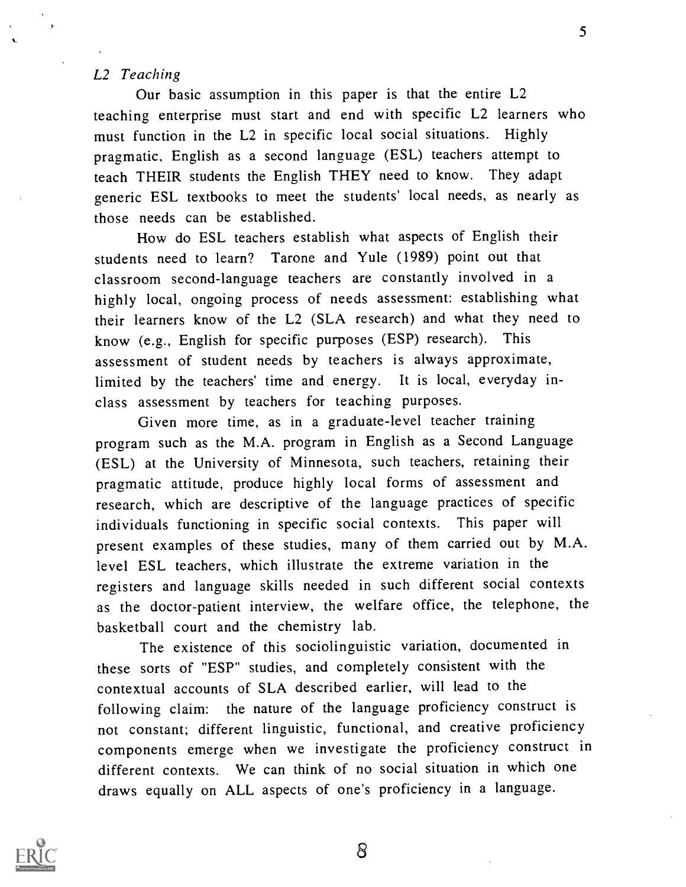### L2 Teaching

Our basic assumption in this paper is that the entire L2 teaching enterprise must start and end with specific L2 learners who must function in the L2 in specific local social situations. Highly pragmatic, English as a second language (ESL) teachers attempt to teach THEIR students the English THEY need to know. They adapt generic ESL textbooks to meet the students' local needs, as nearly as those needs can be established.

How do ESL teachers establish what aspects of English their students need to learn? Tarone and Yule (1989) point out that classroom second-language teachers are constantly involved in a highly local, ongoing process of needs assessment: establishing what their learners know of the L2 (SLA research) and what they need to know (e.g., English for specific purposes (ESP) research). This assessment of student needs by teachers is always approximate, limited by the teachers' time and energy. It is local, everyday inclass assessment by teachers for teaching purposes.

Given more time, as in a graduate-level teacher training program such as the M.A. program in English as a Second Language (ESL) at the University of Minnesota, such teachers, retaining their pragmatic attitude, produce highly local forms of assessment and research, which are descriptive of the language practices of specific individuals functioning in specific social contexts. This paper will present examples of these studies, many of them carried out by M.A. level ESL teachers, which illustrate the extreme variation in the registers and language skills needed in such different social contexts as the doctor-patient interview, the welfare office, the telephone, the basketball court and the chemistry lab.

The existence of this sociolinguistic variation, documented in these sorts of "ESP" studies, and completely consistent with the contextual accounts of SLA described earlier, will lead to the following claim: the nature of the language proficiency construct is not constant; different linguistic, functional, and creative proficiency components emerge when we investigate the proficiency construct in different contexts. We can think of no social situation in which one draws equally on ALL aspects of one's proficiency in a language.

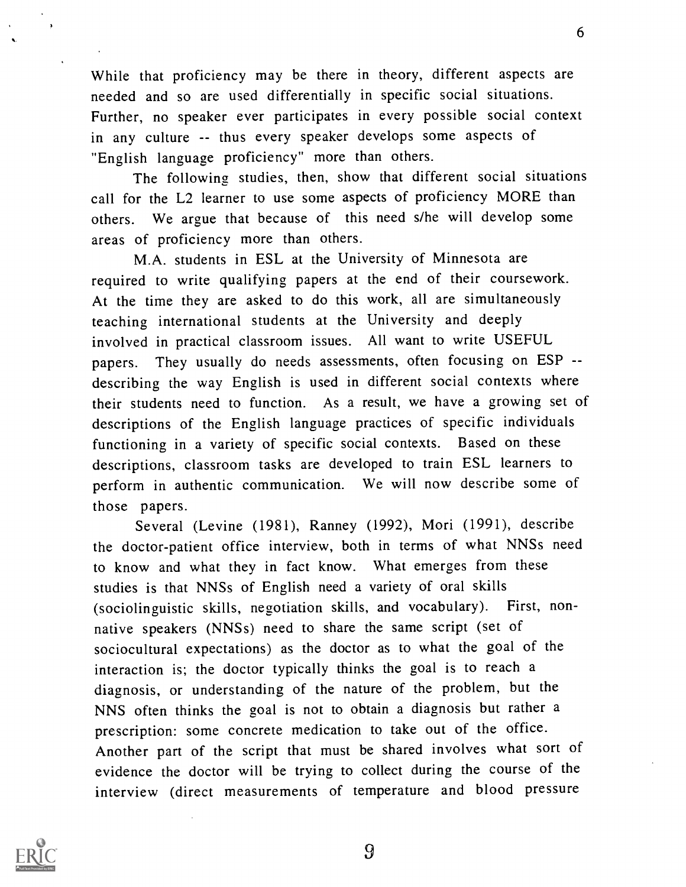While that proficiency may be there in theory, different aspects are needed and so are used differentially in specific social situations. Further, no speaker ever participates in every possible social context in any culture -- thus every speaker develops some aspects of "English language proficiency" more than others.

The following studies, then, show that different social situations call for the L2 learner to use some aspects of proficiency MORE than others. We argue that because of this need s/he will develop some areas of proficiency more than others.

M.A. students in ESL at the University of Minnesota are required to write qualifying papers at the end of their coursework. At the time they are asked to do this work, all are simultaneously teaching international students at the University and deeply involved in practical classroom issues. All want to write USEFUL papers. They usually do needs assessments, often focusing on ESP - describing the way English is used in different social contexts where their students need to function. As a result, we have a growing set of descriptions of the English language practices of specific individuals functioning in a variety of specific social contexts. Based on these descriptions, classroom tasks are developed to train ESL learners to perform in authentic communication. We will now describe some of those papers.

Several (Levine (1981), Ranney (1992), Mori (1991), describe the doctor-patient office interview, both in terms of what NNSs need to know and what they in fact know. What emerges from these studies is that NNSs of English need a variety of oral skills (sociolinguistic skills, negotiation skills, and vocabulary). First, nonnative speakers (NNSs) need to share the same script (set of sociocultural expectations) as the doctor as to what the goal of the interaction is; the doctor typically thinks the goal is to reach a diagnosis, or understanding of the nature of the problem, but the NNS often thinks the goal is not to obtain a diagnosis but rather a prescription: some concrete medication to take out of the office. Another part of the script that must be shared involves what sort of evidence the doctor will be trying to collect during the course of the interview (direct measurements of temperature and blood pressure

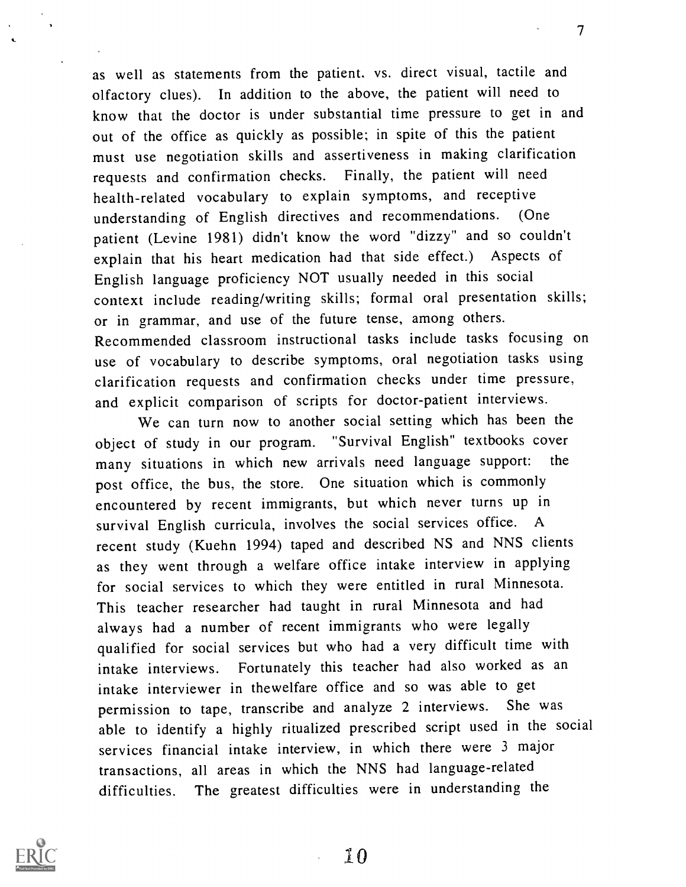as well as statements from the patient. vs. direct visual, tactile and olfactory clues). In addition to the above, the patient will need to know that the doctor is under substantial time pressure to get in and out of the office as quickly as possible; in spite of this the patient must use negotiation skills and assertiveness in making clarification requests and confirmation checks. Finally, the patient will need health-related vocabulary to explain symptoms, and receptive understanding of English directives and recommendations. (One patient (Levine 1981) didn't know the word "dizzy" and so couldn't explain that his heart medication had that side effect.) Aspects of English language proficiency NOT usually needed in this social context include reading/writing skills; formal oral presentation skills; or in grammar, and use of the future tense, among others. Recommended classroom instructional tasks include tasks focusing on use of vocabulary to describe symptoms, oral negotiation tasks using clarification requests and confirmation checks under time pressure, and explicit comparison of scripts for doctor-patient interviews.

7

We can turn now to another social setting which has been the object of study in our program. "Survival English" textbooks cover many situations in which new arrivals need language support: the post office, the bus, the store. One situation which is commonly encountered by recent immigrants, but which never turns up in survival English curricula, involves the social services office. A recent study (Kuehn 1994) taped and described NS and NNS clients as they went through a welfare office intake interview in applying for social services to which they were entitled in rural Minnesota. This teacher researcher had taught in rural Minnesota and had always had a number of recent immigrants who were legally qualified for social services but who had a very difficult time with intake interviews. Fortunately this teacher had also worked as an intake interviewer in thewelfare office and so was able to get permission to tape, transcribe and analyze 2 interviews. She was able to identify a highly ritualized prescribed script used in the social services financial intake interview, in which there were 3 major transactions, all areas in which the NNS had language-related difficulties. The greatest difficulties were in understanding the

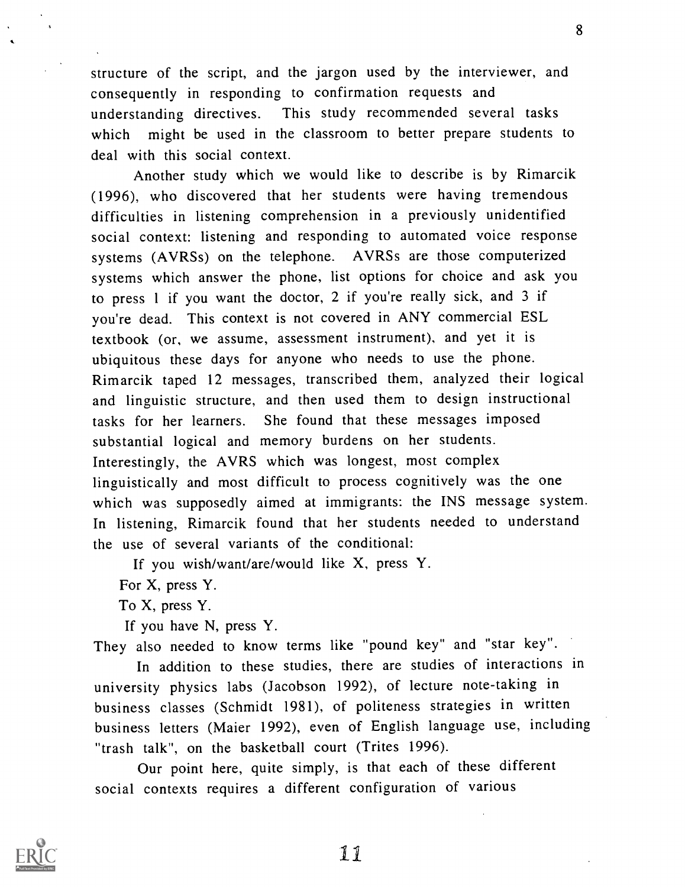structure of the script, and the jargon used by the interviewer, and consequently in responding to confirmation requests and understanding directives. This study recommended several tasks which might be used in the classroom to better prepare students to deal with this social context.

Another study which we would like to describe is by Rimarcik (1996), who discovered that her students were having tremendous difficulties in listening comprehension in a previously unidentified social context: listening and responding to automated voice response systems (AVRSs) on the telephone. AVRSs are those computerized systems which answer the phone, list options for choice and ask you to press <sup>1</sup> if you want the doctor, 2 if you're really sick, and 3 if you're dead. This context is not covered in ANY commercial ESL textbook (or, we assume, assessment instrument), and yet it is ubiquitous these days for anyone who needs to use the phone. Rimarcik taped 12 messages, transcribed them, analyzed their logical and linguistic structure, and then used them to design instructional tasks for her learners. She found that these messages imposed substantial logical and memory burdens on her students. Interestingly, the AVRS which was longest, most complex linguistically and most difficult to process cognitively was the one which was supposedly aimed at immigrants: the INS message system. In listening, Rimarcik found that her students needed to understand the use of several variants of the conditional:

If you wish/want/are/would like X, press Y.

For X, press Y.

To X, press Y.

If you have N, press Y.

They also needed to know terms like "pound key" and "star key".

In addition to these studies, there are studies of interactions in university physics labs (Jacobson 1992), of lecture note-taking in business classes (Schmidt 1981), of politeness strategies in written business letters (Maier 1992), even of English language use, including "trash talk", on the basketball court (Trites 1996).

Our point here, quite simply, is that each of these different social contexts requires a different configuration of various

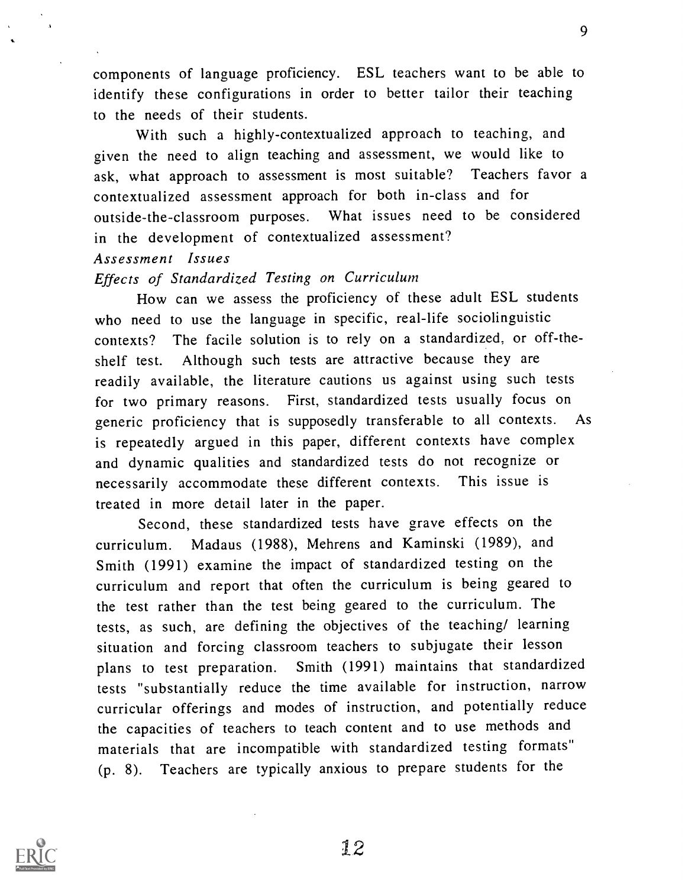components of language proficiency. ESL teachers want to be able to identify these configurations in order to better tailor their teaching to the needs of their students.

With such a highly-contextualized approach to teaching, and given the need to align teaching and assessment, we would like to ask, what approach to assessment is most suitable? Teachers favor a contextualized assessment approach for both in-class and for outside-the-classroom purposes. What issues need to be considered in the development of contextualized assessment?

### Assessment Issues

# Effects of Standardized Testing on Curriculum

How can we assess the proficiency of these adult ESL students who need to use the language in specific, real-life sociolinguistic contexts? The facile solution is to rely on a standardized, or off-theshelf test. Although such tests are attractive because they are readily available, the literature cautions us against using such tests for two primary reasons. First, standardized tests usually focus on generic proficiency that is supposedly transferable to all contexts. As is repeatedly argued in this paper, different contexts have complex and dynamic qualities and standardized tests do not recognize or necessarily accommodate these different contexts. This issue is treated in more detail later in the paper.

Second, these standardized tests have grave effects on the curriculum. Madaus (1988), Mehrens and Kaminski (1989), and Smith (1991) examine the impact of standardized testing on the curriculum and report that often the curriculum is being geared to the test rather than the test being geared to the curriculum. The tests, as such, are defining the objectives of the teaching/ learning situation and forcing classroom teachers to subjugate their lesson plans to test preparation. Smith (1991) maintains that standardized tests "substantially reduce the time available for instruction, narrow curricular offerings and modes of instruction, and potentially reduce the capacities of teachers to teach content and to use methods and materials that are incompatible with standardized testing formats" (p. 8). Teachers are typically anxious to prepare students for the

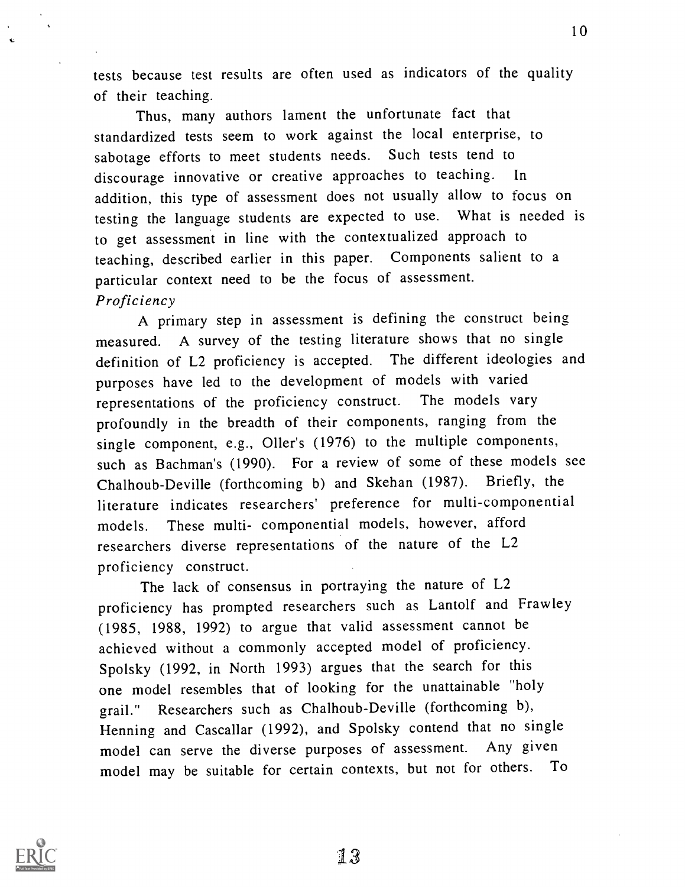tests because test results are often used as indicators of the quality of their teaching.

Thus, many authors lament the unfortunate fact that standardized tests seem to work against the local enterprise, to sabotage efforts to meet students needs. Such tests tend to discourage innovative or creative approaches to teaching. In addition, this type of assessment does not usually allow to focus on testing the language students are expected to use. What is needed is to get assessment in line with the contextualized approach to teaching, described earlier in this paper. Components salient to a particular context need to be the focus of assessment. Proficiency

A primary step in assessment is defining the construct being measured. A survey of the testing literature shows that no single definition of L2 proficiency is accepted. The different ideologies and purposes have led to the development of models with varied representations of the proficiency construct. The models vary profoundly in the breadth of their components, ranging from the single component, e.g., Oiler's (1976) to the multiple components, such as Bachman's (1990). For a review of some of these models see Chalhoub-Deville (forthcoming b) and Skehan (1987). Briefly, the literature indicates researchers' preference for multi-componential models. These multi- componential models, however, afford researchers diverse representations of the nature of the L2 proficiency construct.

The lack of consensus in portraying the nature of L2 proficiency has prompted researchers such as Lantolf and Frawley (1985, 1988, 1992) to argue that valid assessment cannot be achieved without a commonly accepted model of proficiency. Spolsky (1992, in North 1993) argues that the search for this one model resembles that of looking for the unattainable "holy grail." Researchers such as Chalhoub-Deville (forthcoming b), Henning and Cascallar (1992), and Spolsky contend that no single model can serve the diverse purposes of assessment. Any given model may be suitable for certain contexts, but not for others. To

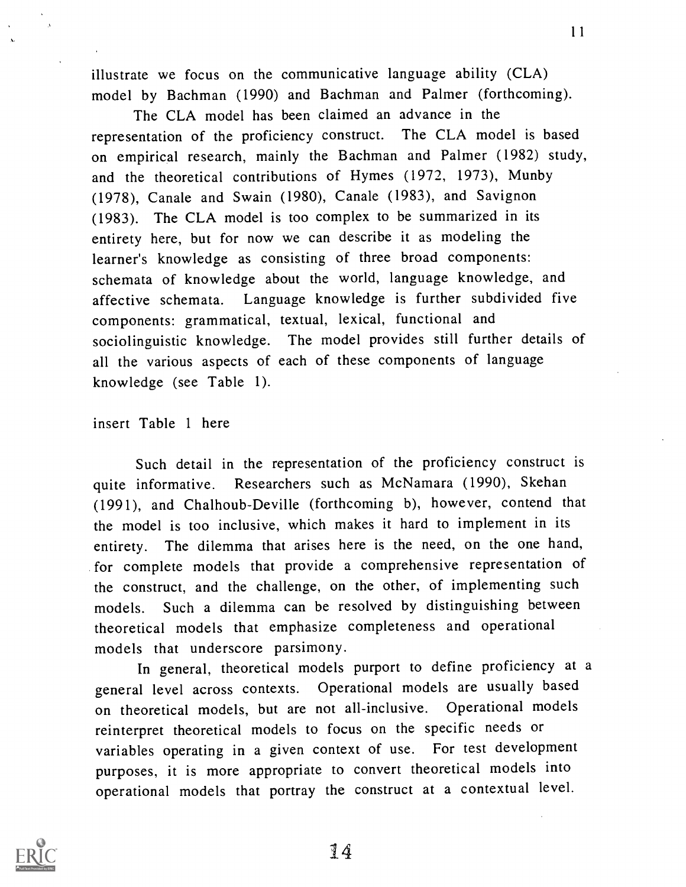illustrate we focus on the communicative language ability (CLA) model by Bachman (1990) and Bachman and Palmer (forthcoming).

The CLA model has been claimed an advance in the representation of the proficiency construct. The CLA model is based on empirical research, mainly the Bachman and Palmer (1982) study, and the theoretical contributions of Hymes (1972, 1973), Munby  $(1978)$ , Canale and Swain (1980), Canale (1983), and Savignon (1983). The CLA model is too complex to be summarized in its entirety here, but for now we can describe it as modeling the learner's knowledge as consisting of three broad components: schemata of knowledge about the world, language knowledge, and affective schemata. Language knowledge is further subdivided five components: grammatical, textual, lexical, functional and sociolinguistic knowledge. The model provides still further details of all the various aspects of each of these components of language knowledge (see Table 1).

insert Table <sup>1</sup> here

Such detail in the representation of the proficiency construct is quite informative. Researchers such as McNamara (1990), Skehan (1991), and Chalhoub-Deville (forthcoming b), however, contend that the model is too inclusive, which makes it hard to implement in its entirety. The dilemma that arises here is the need, on the one hand, for complete models that provide a comprehensive representation of the construct, and the challenge, on the other, of implementing such models. Such a dilemma can be resolved by distinguishing between theoretical models that emphasize completeness and operational models that underscore parsimony.

In general, theoretical models purport to define proficiency at a general level across contexts. Operational models are usually based on theoretical models, but are not all-inclusive. Operational models reinterpret theoretical models to focus on the specific needs or variables operating in a given context of use. For test development purposes, it is more appropriate to convert theoretical models into operational models that portray the construct at a contextual level.

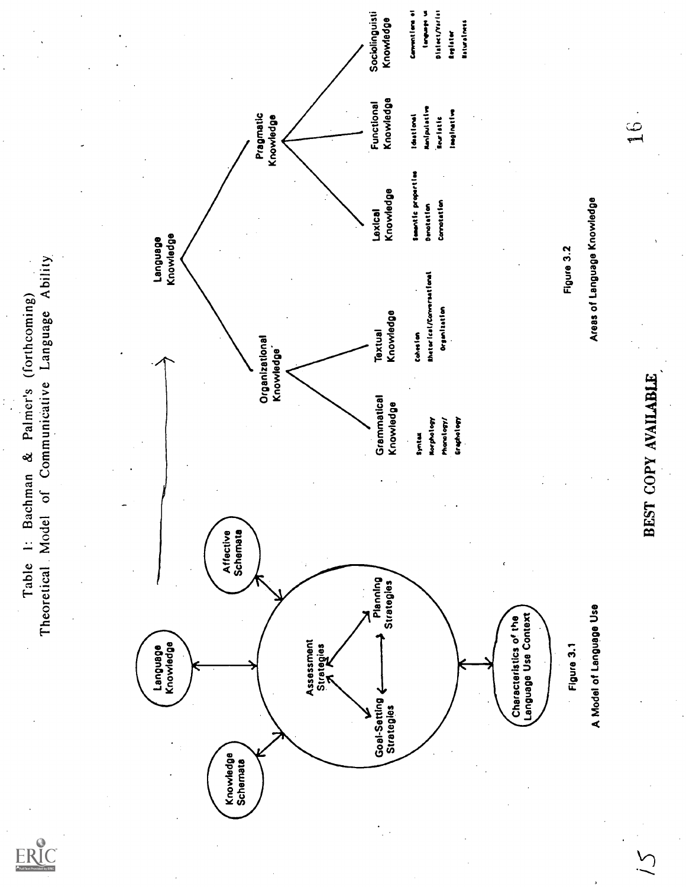Language Knowledge Knowledge Schemata Strategies Affective Schemata Goal-Setting Planning Strategies Strategies Strategies Characteristics of the Language Use Characteristics of the Language Use Characteristics of the Language Use Characteri iS Language Knowledge Organizational Knowledge' Grammatical Knowledge Syntax Morphology Phonology/ Graphology BEST COPY AVAILABLE, Textual Knowledge Cohesion RhetorIcal/Conmersatimel Organization Figure 3.2 Pragmatic Knowledge Lexical Knowledge Semantic properties Denotation Connotation Areas of Language Knowledge Functional Knowledge Ideational Manipulative ituristic imeginstive 16 Sociolinguisti Knowledge Convention' ei tomPAM Olelectfverist Register Naturalness

Table 1: Bachman & Palmer's (forthcoming)<br>Theoretical Model of Communicative Language Ability

ERIC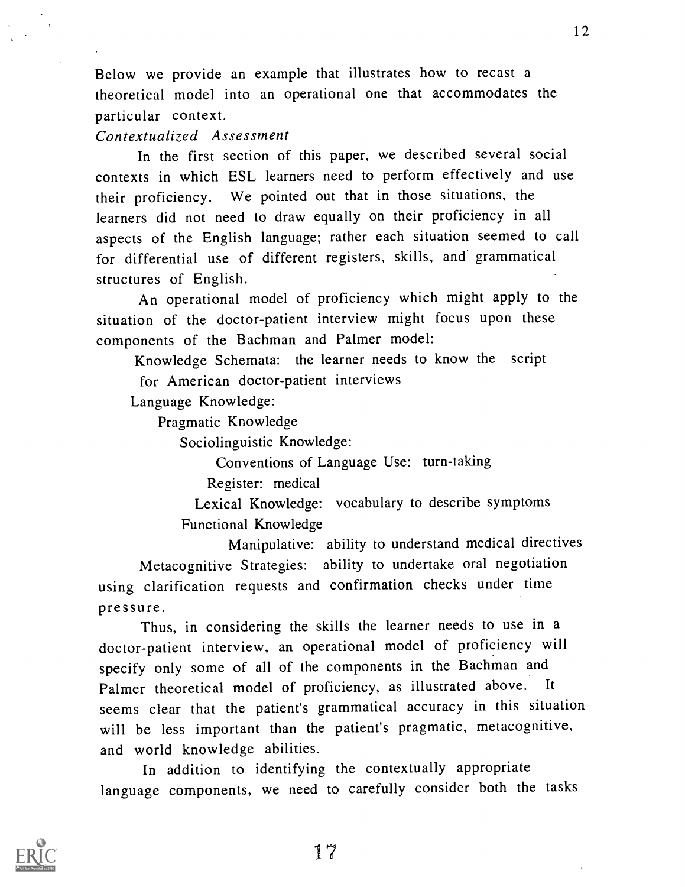Below we provide an example that illustrates how to recast a theoretical model into an operational one that accommodates the particular context.

Contextualized Assessment

In the first section of this paper, we described several social contexts in which ESL learners need to perform effectively and use their proficiency. We pointed out that in those situations, the learners did not need to draw equally on their proficiency in all aspects of the English language; rather each situation seemed to call for differential use of different registers, skills, and grammatical structures of English.

An operational model of proficiency which might apply to the situation of the doctor-patient interview might focus upon these components of the Bachman and Palmer model:

Knowledge Schemata: the learner needs to know the script for American doctor-patient interviews

Language Knowledge:

Pragmatic Knowledge

Sociolinguistic Knowledge:

Conventions of Language Use: turn-taking

Register: medical

Lexical Knowledge: vocabulary to describe symptoms Functional Knowledge

Manipulative: ability to understand medical directives Metacognitive Strategies: ability to undertake oral negotiation using clarification requests and confirmation checks under time pressure.

Thus, in considering the skills the learner needs to use in a doctor-patient interview, an operational model of proficiency will specify only some of all of the components in the Bachman and Palmer theoretical model of proficiency, as illustrated above. It seems clear that the patient's grammatical accuracy in this situation will be less important than the patient's pragmatic, metacognitive, and world knowledge abilities.

In addition to identifying the contextually appropriate language components, we need to carefully consider both the tasks

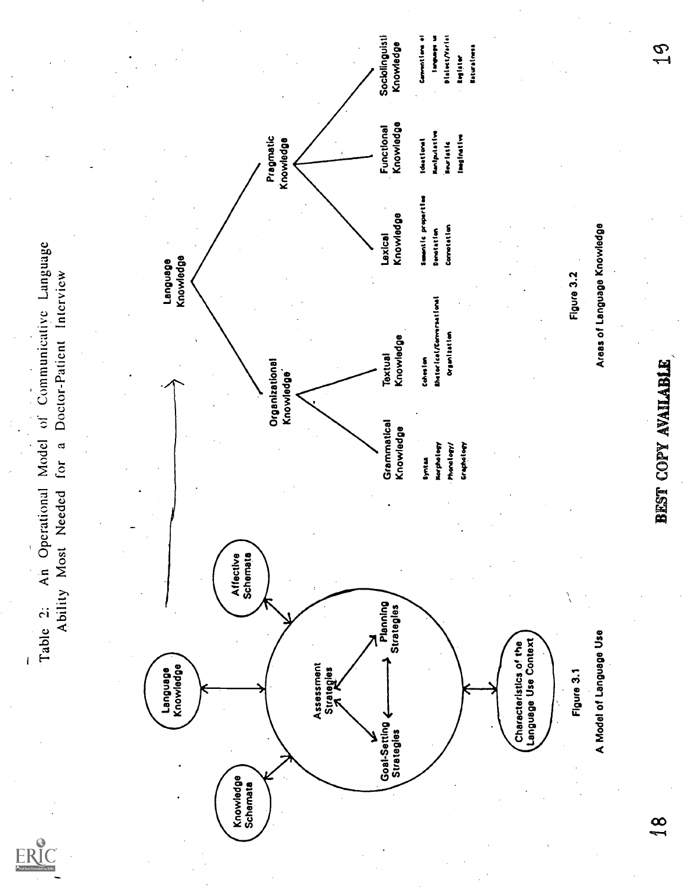'Table 2: An Operational Model of Communicative Language Ability Most Needed for a Doctor-Patient Interview Language Knowledge  $\begin{picture}(120,110) \put(0,0){\line(1,0){100}} \put(10,0){\line(1,0){100}} \put(10,0){\line(1,0){100}} \put(10,0){\line(1,0){100}} \put(10,0){\line(1,0){100}} \put(10,0){\line(1,0){100}} \put(10,0){\line(1,0){100}} \put(10,0){\line(1,0){100}} \put(10,0){\line(1,0){100}} \put(10,0){\line(1,0){100}} \put(10,0){\line(1,0){100$ 

ERIC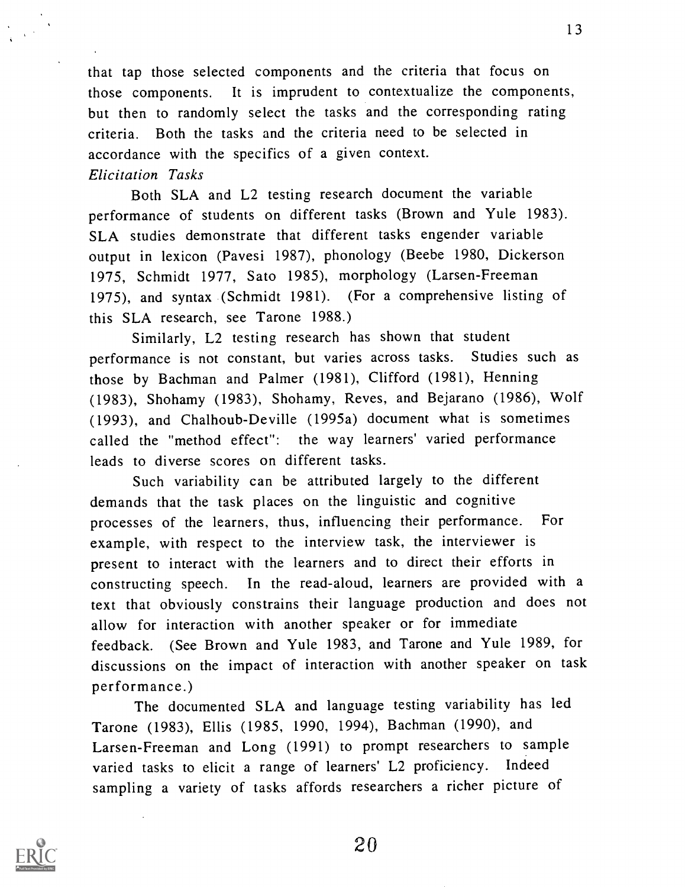that tap those selected components and the criteria that focus on those components. It is imprudent to contextualize the components, but then to randomly select the tasks and the corresponding rating criteria. Both the tasks and the criteria need to be selected in accordance with the specifics of a given context. Elicitation Tasks

Both SLA and L2 testing research document the variable performance of students on different tasks (Brown and Yule 1983). SLA studies demonstrate that different tasks engender variable output in lexicon (Pavesi 1987), phonology (Beebe 1980, Dickerson 1975, Schmidt 1977, Sato 1985), morphology (Larsen-Freeman 1975), and syntax (Schmidt 1981). (For a comprehensive listing of this SLA research, see Tarone 1988.)

Similarly, L2 testing research has shown that student performance is not constant, but varies across tasks. Studies such as those by Bachman and Palmer (1981), Clifford (1981), Henning (1983), Shohamy (1983), Shohamy, Reyes, and Bejarano (1986), Wolf (1993), and Chalhoub-Deville (1995a) document what is sometimes called the "method effect": the way learners' varied performance leads to diverse scores on different tasks.

Such variability can be attributed largely to the different demands that the task places on the linguistic and cognitive processes of the learners, thus, influencing their performance. For example, with respect to the interview task, the interviewer is present to interact with the learners and to direct their efforts in constructing speech. In the read-aloud, learners are provided with a text that obviously constrains their language production and does not allow for interaction with another speaker or for immediate feedback. (See Brown and Yule 1983, and Tarone and Yule 1989, for discussions on the impact of interaction with another speaker on task performance.)

The documented SLA and language testing variability has led Tarone (1983), Ellis (1985, 1990, 1994), Bachman (1990), and Larsen-Freeman and Long (1991) to prompt researchers to sample varied tasks to elicit a range of learners' L2 proficiency. Indeed sampling a variety of tasks affords researchers a richer picture of



20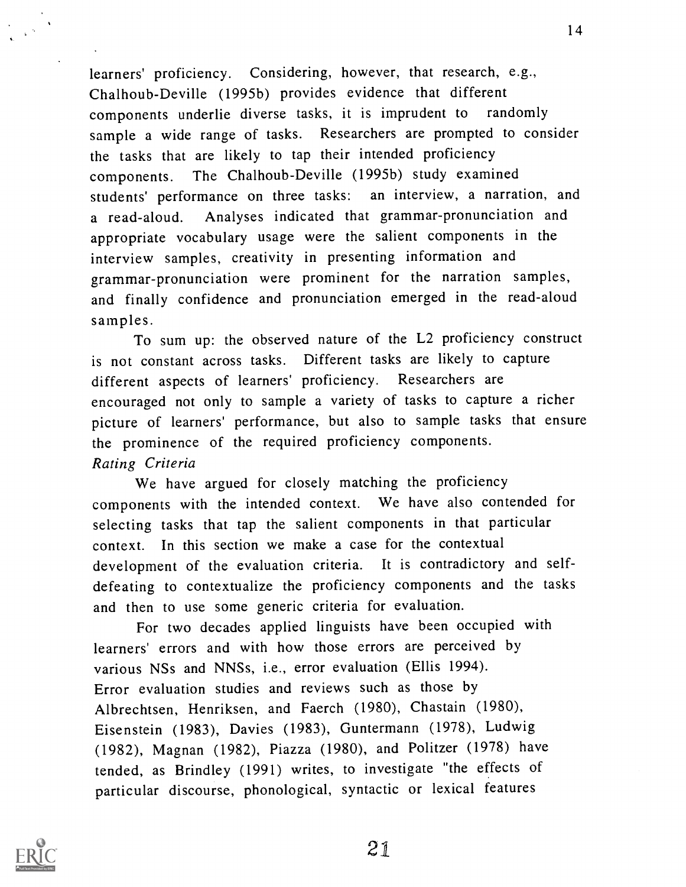learners' proficiency. Considering, however, that research, e.g., Chalhoub-Deville (1995b) provides evidence that different components underlie diverse tasks, it is imprudent to randomly sample a wide range of tasks. Researchers are prompted to consider the tasks that are likely to tap their intended proficiency components. The Chalhoub-Deville (1995b) study examined students' performance on three tasks: an interview, a narration, and a read-aloud. Analyses indicated that grammar-pronunciation and appropriate vocabulary usage were the salient components in the interview samples, creativity in presenting information and grammar-pronunciation were prominent for the narration samples, and finally confidence and pronunciation emerged in the read-aloud samples.

To sum up: the observed nature of the L2 proficiency construct is not constant across tasks. Different tasks are likely to capture different aspects of learners' proficiency. Researchers are encouraged not only to sample a variety of tasks to capture a richer picture of learners' performance, but also to sample tasks that ensure the prominence of the required proficiency components. Rating Criteria

We have argued for closely matching the proficiency components with the intended context. We have also contended for selecting tasks that tap the salient components in that particular context. In this section we make a case for the contextual development of the evaluation criteria. It is contradictory and selfdefeating to contextualize the proficiency components and the tasks and then to use some generic criteria for evaluation.

For two decades applied linguists have been occupied with learners' errors and with how those errors are perceived by various NSs and NNSs, i.e., error evaluation (Ellis 1994). Error evaluation studies and reviews such as those by Albrechtsen, Henriksen, and Faerch (1980), Chastain (1980), Eisenstein (1983), Davies (1983), Guntermann (1978), Ludwig (1982), Magnan (1982), Piazza (1980), and Politzer (1978) have tended, as Brindley (1991) writes, to investigate "the effects of particular discourse, phonological, syntactic or lexical features

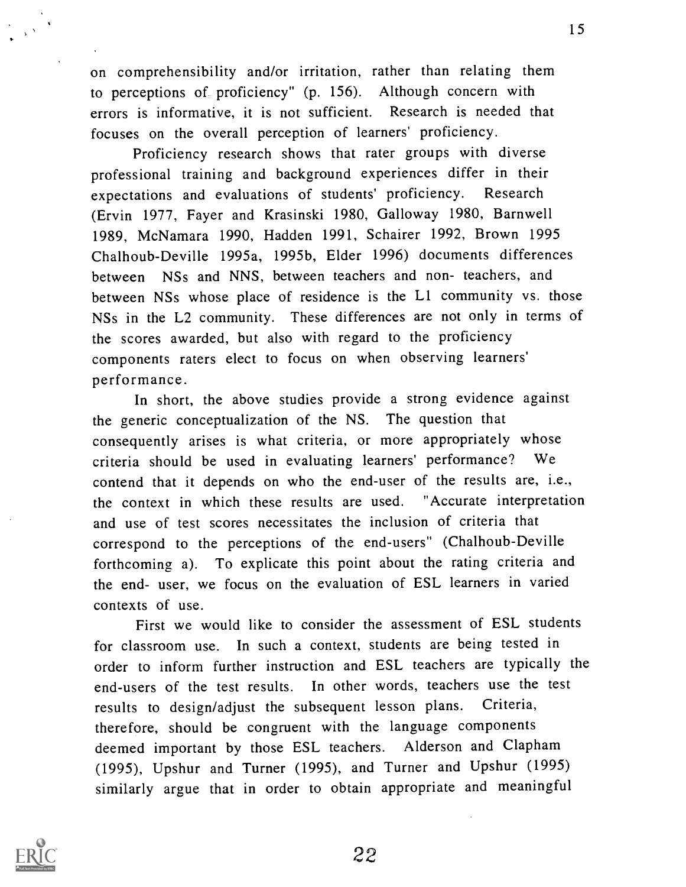on comprehensibility and/or irritation, rather than relating them to perceptions of proficiency" (p. 156). Although concern with errors is informative, it is not sufficient. Research is needed that focuses on the overall perception of learners' proficiency.

Proficiency research shows that rater groups with diverse professional training and background experiences differ in their expectations and evaluations of students' proficiency. Research (Ervin 1977, Fayer and Krasinski 1980, Galloway 1980, Barnwell 1989, McNamara 1990, Hadden 1991, Schairer 1992, Brown 1995 Chalhoub-Deville 1995a, 1995b, Elder 1996) documents differences between NSs and NNS, between teachers and non- teachers, and between NSs whose place of residence is the L1 community vs. those NSs in the L2 community. These differences are not only in terms of the scores awarded, but also with regard to the proficiency components raters elect to focus on when observing learners' performance.

In short, the above studies provide a strong evidence against the generic conceptualization of the NS. The question that consequently arises is what criteria, or more appropriately whose criteria should be used in evaluating learners' performance? We contend that it depends on who the end-user of the results are, i.e., the context in which these results are used. "Accurate interpretation and use of test scores necessitates the inclusion of criteria that correspond to the perceptions of the end-users" (Chalhoub-Deville forthcoming a). To explicate this point about the rating criteria and the end- user, we focus on the evaluation of ESL learners in varied contexts of use.

First we would like to consider the assessment of ESL students for classroom use. In such a context, students are being tested in order to inform further instruction and ESL teachers are typically the end-users of the test results. In other words, teachers use the test results to design/adjust the subsequent lesson plans. Criteria, therefore, should be congruent with the language components deemed important by those ESL teachers. Alderson and Clapham (1995), Upshur and Turner (1995), and Turner and Upshur (1995) similarly argue that in order to obtain appropriate and meaningful

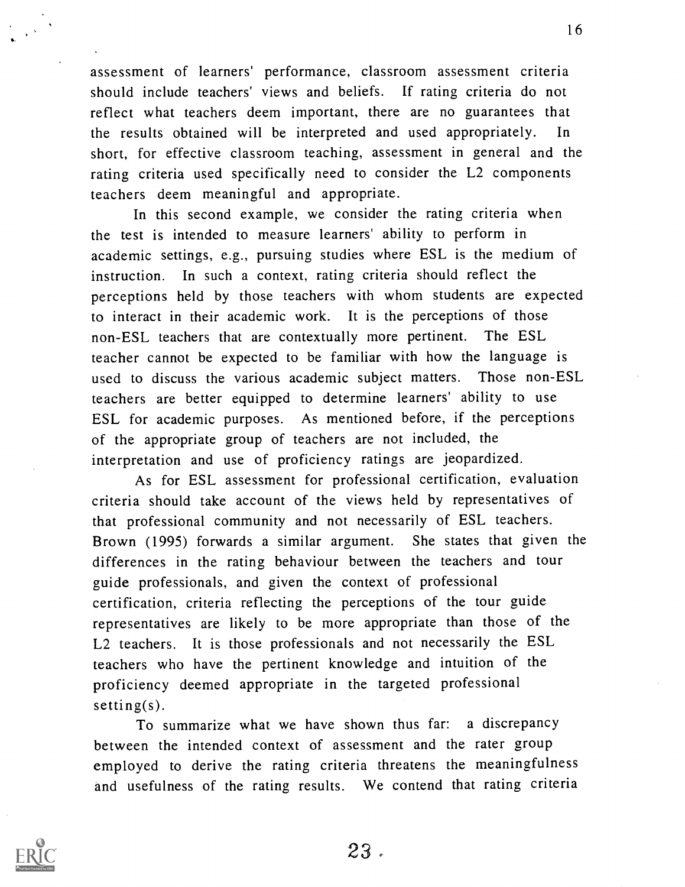assessment of learners' performance, classroom assessment criteria should include teachers' views and beliefs. If rating criteria do not reflect what teachers deem important, there are no guarantees that the results obtained will be interpreted and used appropriately. In short, for effective classroom teaching, assessment in general and the rating criteria used specifically need to consider the L2 components teachers deem meaningful and appropriate.

In this second example, we consider the rating criteria when the test is intended to measure learners' ability to perform in academic settings, e.g., pursuing studies where ESL is the medium of instruction. In such a context, rating criteria should reflect the perceptions held by those teachers with whom students are expected to interact in their academic work. It is the perceptions of those non-ESL teachers that are contextually more pertinent. The ESL teacher cannot be expected to be familiar with how the language is used to discuss the various academic subject matters. Those non-ESL teachers are better equipped to determine learners' ability to use ESL for academic purposes. As mentioned before, if the perceptions of the appropriate group of teachers are not included, the interpretation and use of proficiency ratings are jeopardized.

As for ESL assessment for professional certification, evaluation criteria should take account of the views held by representatives of that professional community and not necessarily of ESL teachers. Brown (1995) forwards a similar argument. She states that given the differences in the rating behaviour between the teachers and tour guide professionals, and given the context of professional certification, criteria reflecting the perceptions of the tour guide representatives are likely to be more appropriate than those of the L2 teachers. It is those professionals and not necessarily the ESL teachers who have the pertinent knowledge and intuition of the proficiency deemed appropriate in the targeted professional setting(s).

To summarize what we have shown thus far: a discrepancy between the intended context of assessment and the rater group employed to derive the rating criteria threatens the meaningfulness and usefulness of the rating results. We contend that rating criteria



23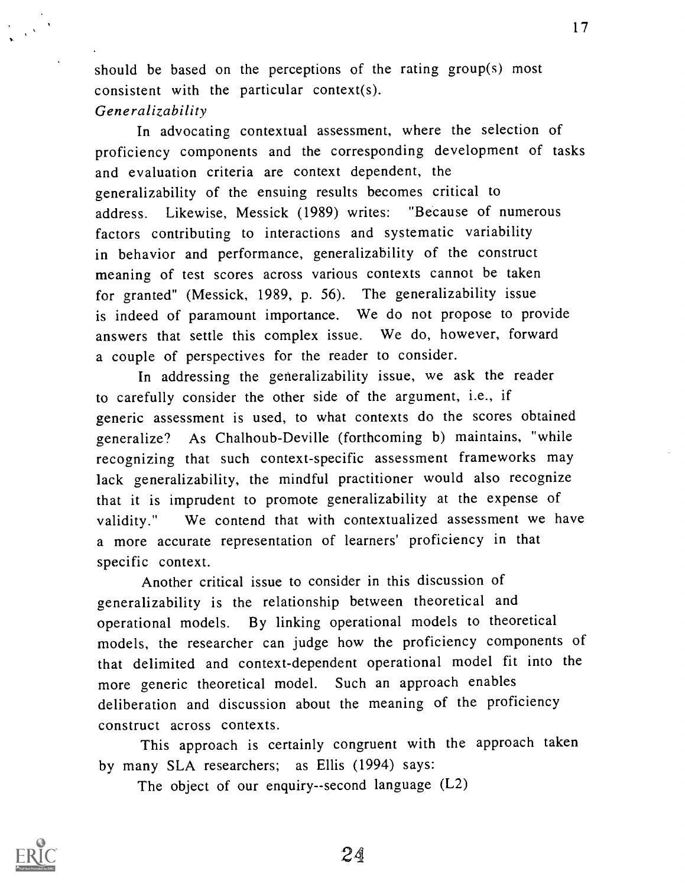should be based on the perceptions of the rating group(s) most consistent with the particular context(s). Generalizability

In advocating contextual assessment, where the selection of proficiency components and the corresponding development of tasks and evaluation criteria are context dependent, the generalizability of the ensuing results becomes critical to address. Likewise, Messick (1989) writes: "Because of numerous factors contributing to interactions and systematic variability in behavior and performance, generalizability of the construct meaning of test scores across various contexts cannot be taken for granted" (Messick, 1989, p. 56). The generalizability issue is indeed of paramount importance. We do not propose to provide answers that settle this complex issue. We do, however, forward a couple of perspectives for the reader to consider.

In addressing the generalizability issue, we ask the reader to carefully consider the other side of the argument, i.e., if generic assessment is used, to what contexts do the scores obtained generalize? As Chalhoub-Deville (forthcoming b) maintains, "while recognizing that such context-specific assessment frameworks may lack generalizability, the mindful practitioner would also recognize that it is imprudent to promote generalizability at the expense of validity." We contend that with contextualized assessment we have a more accurate representation of learners' proficiency in that specific context.

Another critical issue to consider in this discussion of generalizability is the relationship between theoretical and operational models. By linking operational models to theoretical models, the researcher can judge how the proficiency components of that delimited and context-dependent operational model fit into the more generic theoretical model. Such an approach enables deliberation and discussion about the meaning of the proficiency construct across contexts.

This approach is certainly congruent with the approach taken by many SLA researchers; as Ellis (1994) says:

The object of our enquiry--second language (L2)



24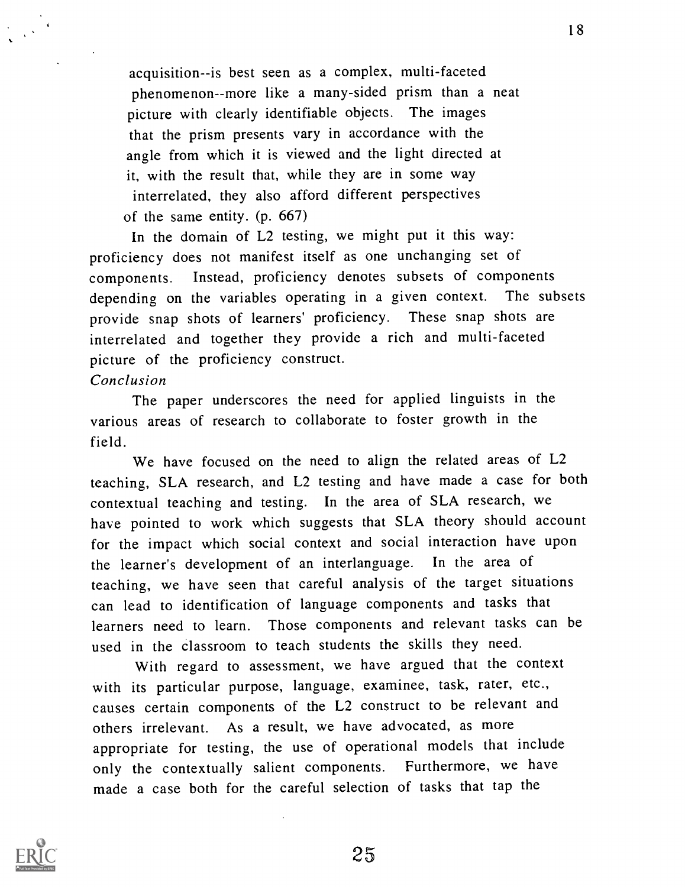acquisition--is best seen as a complex, multi-faceted phenomenon--more like a many-sided prism than a neat picture with clearly identifiable objects. The images that the prism presents vary in accordance with the angle from which it is viewed and the light directed at it, with the result that, while they are in some way interrelated, they also afford different perspectives of the same entity. (p. 667)

In the domain of L2 testing, we might put it this way: proficiency does not manifest itself as one unchanging set of components. Instead, proficiency denotes subsets of components depending on the variables operating in a given context. The subsets provide snap shots of learners' proficiency. These snap shots are interrelated and together they provide a rich and multi-faceted picture of the proficiency construct.

### Conclusion

The paper underscores the need for applied linguists in the various areas of research to collaborate to foster growth in the field.

We have focused on the need to align the related areas of L2 teaching, SLA research, and L2 testing and have made a case for both contextual teaching and testing. In the area of SLA research, we have pointed to work which suggests that SLA theory should account for the impact which social context and social interaction have upon the learner's development of an interlanguage. In the area of teaching, we have seen that careful analysis of the target situations can lead to identification of language components and tasks that learners need to learn. Those components and relevant tasks can be used in the classroom to teach students the skills they need.

With regard to assessment, we have argued that the context with its particular purpose, language, examinee, task, rater, etc., causes certain components of the L2 construct to be relevant and others irrelevant. As a result, we have advocated, as more appropriate for testing, the use of operational models that include only the contextually salient components. Furthermore, we have made a case both for the careful selection of tasks that tap the

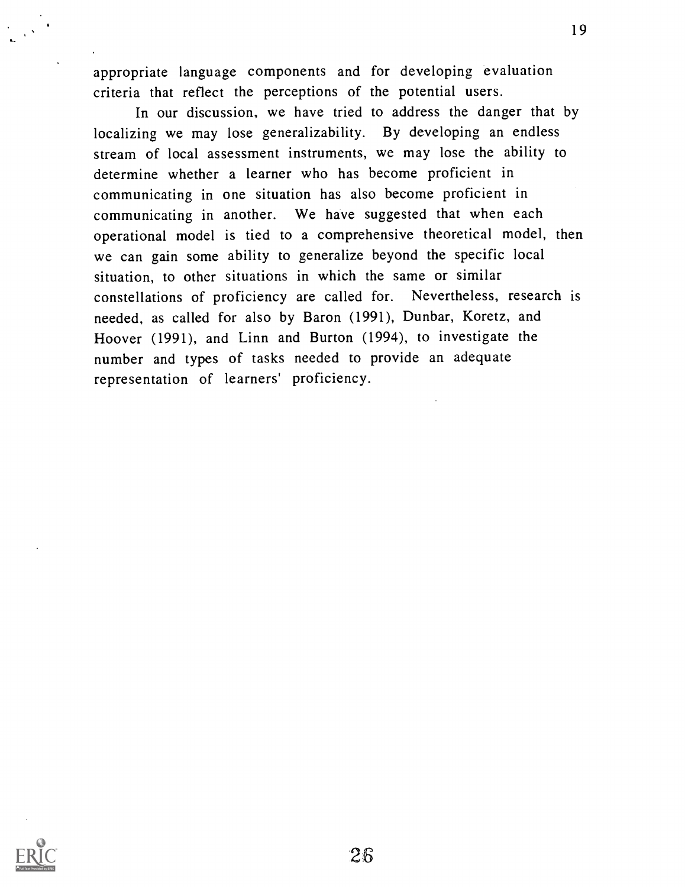appropriate language components and for developing evaluation criteria that reflect the perceptions of the potential users.

In our discussion, we have tried to address the danger that by localizing we may lose generalizability. By developing an endless stream of local assessment instruments, we may lose the ability to determine whether a learner who has become proficient in communicating in one situation has also become proficient in communicating in another. We have suggested that when each operational model is tied to a comprehensive theoretical model, then we can gain some ability to generalize beyond the specific local situation, to other situations in which the same or similar constellations of proficiency are called for. Nevertheless, research is needed, as called for also by Baron (1991), Dunbar, Koretz, and Hoover (1991), and Linn and Burton (1994), to investigate the number and types of tasks needed to provide an adequate representation of learners' proficiency.

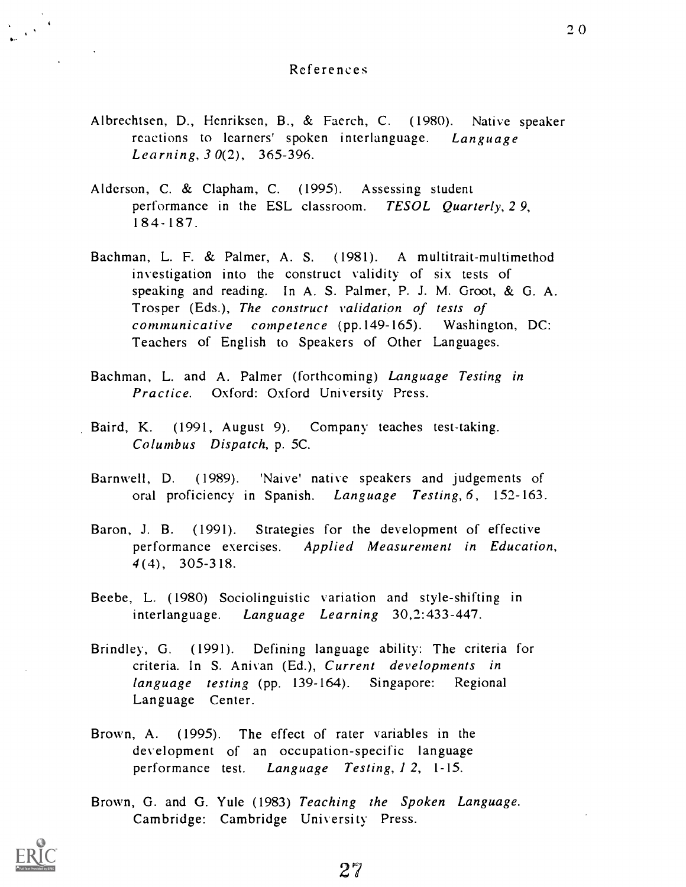#### References

- Albrechtsen, D., Henriksen, B., & Faerch, C. (1980). Native speaker reactions to learners' spoken interlanguage. Language Learning, 3 0(2), 365-396.
- Alderson, C. & Clapham, C. (1995). Assessing student performance in the ESL classroom. TESOL Quarterly, 29, 18 4-187.
- Bachman, L. F. & Palmer, A. S. (1981). A multitrait-multimethod investigation into the construct validity of six tests of speaking and reading. In A. S. Palmer, P. J. M. Groot, & G. A. Trosper (Eds.), The construct validation of tests of communicative competence (pp.149-165). Washington, DC: Teachers of English to Speakers of Other Languages.
- Bachman, L. and A. Palmer (forthcoming) Language Testing in Practice. Oxford: Oxford University Press.
- Baird, K. (1991, August 9). Company teaches test-taking. Columbus Dispatch, p. 5C.
	- Barnwell, D. (1989). 'Naive' native speakers and judgements of oral proficiency in Spanish. Language Testing, 6, 152-163.
	- Baron, J. B. (1991). Strategies for the development of effective performance exercises. Applied Measurement in Education, 4(4), 305-318.
	- Beebe, L. (1980) Sociolinguistic variation and style-shifting in interlanguage. Language Learning 30,2:433-447.
	- Brindley, G. (1991). Defining language ability: The criteria for criteria. In S. Anivan (Ed.), Current developments in language testing (pp. 139-164). Singapore: Regional Language Center.
	- Brown, A. (1995). The effect of rater variables in the development of an occupation-specific language performance test. Language Testing, 1 2, 1-15.
	- Brown, G. and G. Yule (1983) Teaching the Spoken Language. Cambridge: Cambridge University Press.

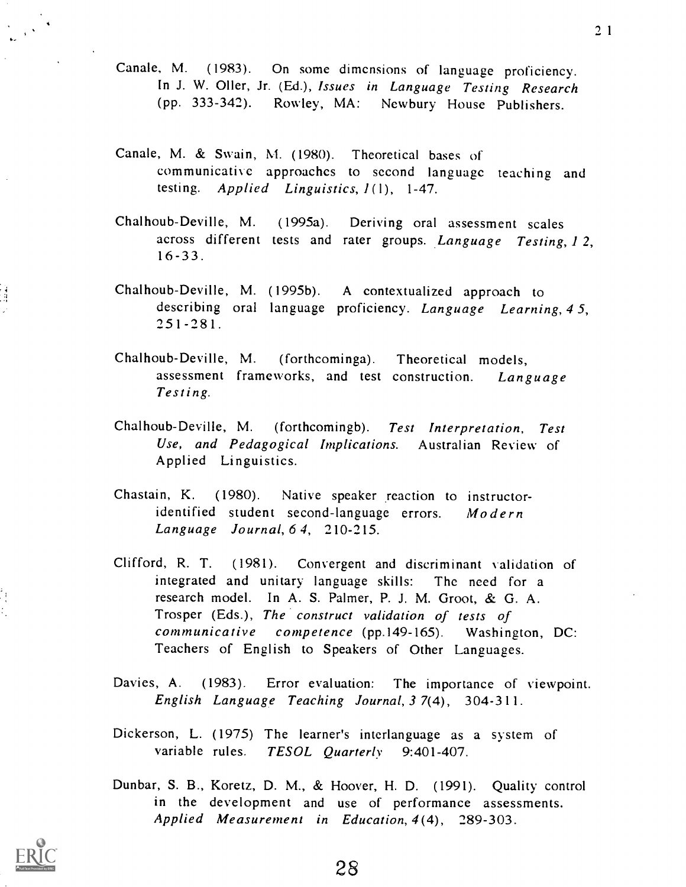- Canale, M. (1983). On some dimensions of language proficiency. In J. W. Oiler, Jr. (Ed.), Issues in Language Testing Research (pp. 333-342). Rowley, MA: Newbury House Publishers.
- Canale, M. & Swain, M. (1980). Theoretical bases of communicative approaches to second language teaching and testing. Applied Linguistics,  $1(1)$ , 1-47.
- Chalhoub-Deville, M. (1995a). Deriving oral assessment scales across different tests and rater groups. Language Testing, 1 2,  $16 - 33$ .
- Chalhoub-Deville, M. (1995b). A contextualized approach to describing oral language proficiency. Language Learning, 45,  $251 - 281$ .
- Chalhoub-Deville, M. (forthcominga). Theoretical models, assessment frameworks, and test construction. Language Testing.
- Chalhoub-Deville, M. (forthcomingb). Test Interpretation, Test Use, and Pedagogical Implications. Australian Review of Applied Linguistics.
- Chastain, K. (1980). Native speaker reaction to instructoridentified student second-language errors.  $Model$ Language Journal, 6 4, 210-215.
- Clifford, R. T. (1981). Convergent and discriminant validation of integrated and unitary language skills: The need for a research model. In A. S. Palmer, P. J. M. Groot, & G. A. Trosper (Eds.), The construct validation of tests of communicative competence (pp.149-165). Washington, DC: Teachers of English to Speakers of Other Languages.
- Davies, A. (1983). Error evaluation: The importance of viewpoint. English Language Teaching Journal, 3 7(4), 304-3 11.
- Dickerson, L. (1975) The learner's interlanguage as a system of variable rules. TESOL Quarterly 9:401-407.
- Dunbar, S. B., Koretz, D. M., & Hoover, H. D. (1991). Quality control in the development and use of performance assessments. Applied Measurement in Education, 4(4), 289-303.

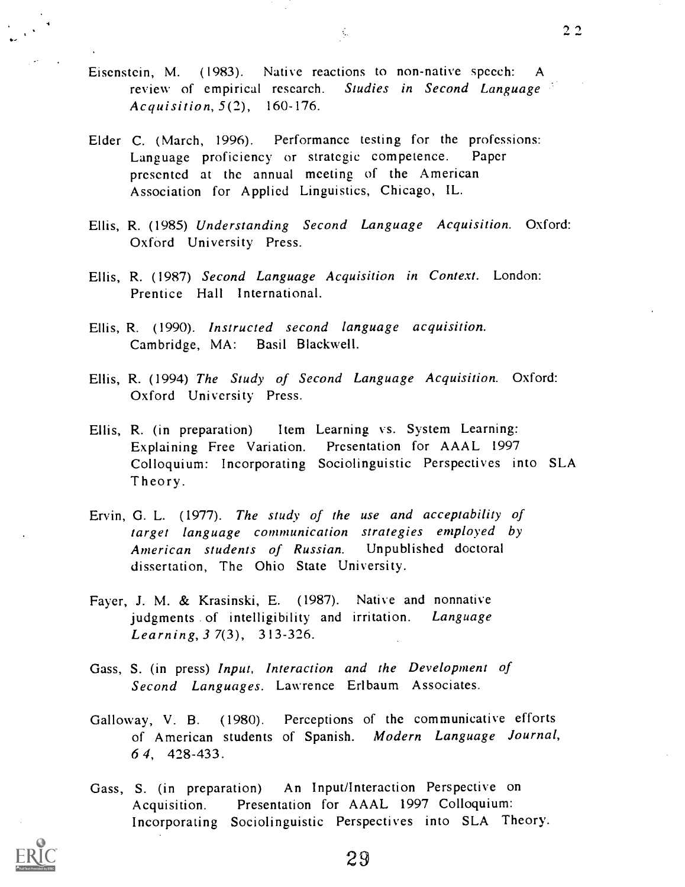Eiscnstcin, M. (1983). Native reactions to non-native speech: A review of empirical research. Studies in Second Language Acquisition, 5(2), 160-176.

 $\mathcal{L}_{\mathcal{C}}$ 

- Elder C. (March, 1996). Performance testing for the professions:<br>Language proficiency or strategic competence. Paper Language proficiency or strategic competence. presented at the annual meeting of the American Association for Applied Linguistics, Chicago, IL.
- Ellis, R. (1985) Understanding Second Language Acquisition. Oxford: Oxford University Press.
- Ellis, R. (1987) Second Language Acquisition in Context. London: Prentice Hall International.
- Ellis, R. (1990). Instructed second language acquisition. Cambridge, MA: Basil Blackwell.
- Ellis, R. (1994) The Study of Second Language Acquisition. Oxford: Oxford University Press.
- Ellis, R. (in preparation) Item Learning vs. System Learning: Explaining Free Variation. Presentation for AAAL 1997 Colloquium: Incorporating Sociolinguistic Perspectives into SLA Theory.
- Ervin, G. L. (1977). The study of the use and acceptability of target language communication strategies employed by American students of Russian. Unpublished doctoral dissertation, The Ohio State University.
- Fayer, J. M. & Krasinski, E. (1987). Native and nonnative judgments of intelligibility and irritation. Language Learning, 3 7(3), 313-326.
- Gass, S. (in press) Input, Interaction and the Development of Second Languages. Lawrence Erlbaum Associates.
- Galloway, V. B. (1980). Perceptions of the communicative efforts of American students of Spanish. Modern Language Journal, 6 4, 428-433.
- Gass, S. (in preparation) An Input/Interaction Perspective on Acquisition. Presentation for AAAL 1997 Colloquium: Incorporating Sociolinguistic Perspectives into SLA Theory.



29

 $2<sub>2</sub>$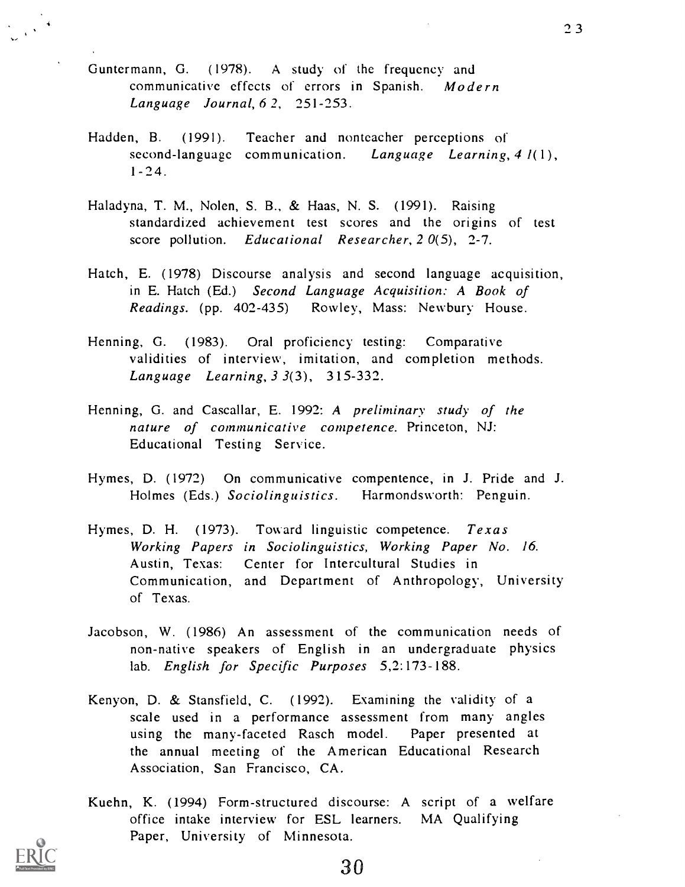- Guntermann, G. (1978). A study of the frequency and communicative effects of errors in Spanish. Modern Language Journal, 6 2, 251-253.
- Hadden, B. (1991). Teacher and nonteacher perceptions of second-language communication. Language Learning,  $4 l(1)$ , 1-24.
- Haladyna, T. M., Nolen, S. B., & Haas, N. S. (1991). Raising standardized achievement test scores and the origins of test score pollution. Educational Researcher, 20(5), 2-7.
- Hatch, E. (1978) Discourse analysis and second language acquisition, in E. Hatch (Ed.) Second Language Acquisition: A Book of Readings. (pp. 402-435) Rowley, Mass: Newbury House.
- Henning, G. (1983). Oral proficiency testing: Comparative validities of interview, imitation, and completion methods. Language Learning,  $3 \frac{3}{3}$ ,  $315 - 332$ .
- Henning, G. and Cascallar, E. 1992: A preliminary study of the nature of communicative competence. Princeton, NJ: Educational Testing Service.
- Hymes, D. (1972) On communicative compentence, in J. Pride and J. Holmes (Eds.) Sociolinguistics. Harmondsworth: Penguin.
- Hymes, D. H.  $(1973)$ . Toward linguistic competence. Texas Working Papers in Sociolinguistics, Working Paper No. 16. Austin, Texas: Center for Intercultural Studies in Communication, and Department of Anthropology, University of Texas.
- Jacobson, W. (1986) An assessment of the communication needs of non-native speakers of English in an undergraduate physics lab. English for Specific Purposes 5,2:173-188.
- Kenyon, D. & Stansfield, C. (1992). Examining the validity of a scale used in a performance assessment from many angles using the many-faceted Rasch model. Paper presented at the annual meeting of the American Educational Research Association, San Francisco, CA.
- Kuehn, K. (1994) Form-structured discourse: A script of a welfare office intake interview for ESL learners. MA Qualifying Paper, University of Minnesota.

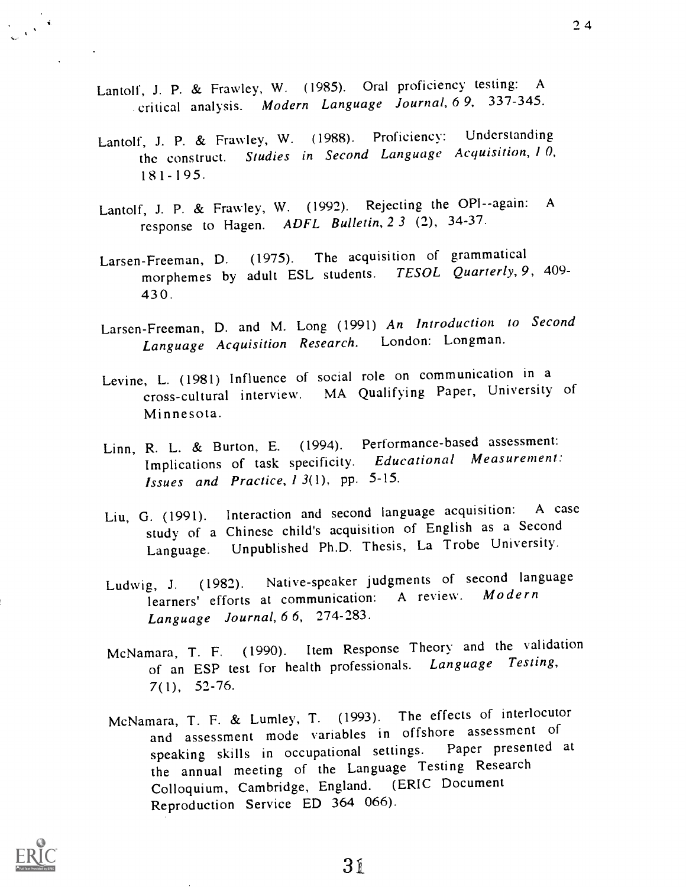- Lantolf, J. P. & Frawley, W. (1985). Oral proficiency testing: <sup>A</sup> critical analysis. Modern Language Journal, 6 9, 337-345.
- Lantolf, J. P. & Frawley, W. (1988). Proficiency: Understanding the construct. Studies in Second Language Acquisition,  $10$ ,  $181 - 195$ .
- Lantolf, J. P. & Frawley, W. (1992). Rejecting the OPI--again: <sup>A</sup> response to Hagen. ADFL Bulletin, 2 3 (2), 34-37.
- Larsen-Freeman, D. (1975). The acquisition of grammatical morphemes by adult ESL students. TESOL Quarterly, 9, 409-43 0 .
- Larsen-Freeman, D. and M. Long (1991) An Introduction to Second Language Acquisition Research. London: Longman.
- Levine, L. (1981) Influence of social role on communication in a cross-cultural interview. MA Qualifying Paper, University of Minnesota.
- Linn, R. L. & Burton, E. (1994). Performance-based assessment: Implications of task specificity. Educational Measurement: Issues and Practice, 1 3(1), pp. 5-15.
- Liu, G. (1991). Interaction and second language acquisition: A case study of a Chinese child's acquisition of English as a Second Language. Unpublished Ph.D. Thesis, La Trobe University.
- Ludwig, J. (1982). Native-speaker judgments of second language learners' efforts at communication: A review. Modern Language Journal, 6 6, 274-283.
- McNamara, T. F. (1990). Item Response Theory and the validation of an ESP test for health professionals. Language Testing, 7(1), 52-76.
- McNamara, T. F. & Lumley, T. (1993). The effects of interlocutor and assessment mode variables in offshore assessment of speaking skills in occupational settings. Paper presented at the annual meeting of the Language Testing Research Colloquium, Cambridge, England. (ERIC Document Reproduction Service ED 364 066).

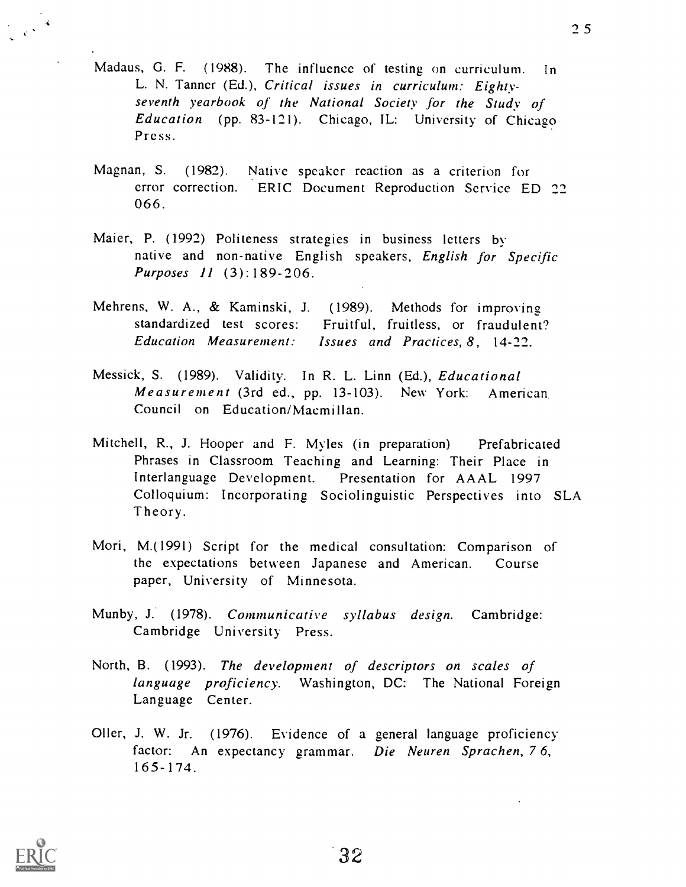- Madaus, G. F. (1988). The influence of testing on curriculum. in L. N. Tanner (Ed.), Critical issues in curriculum: Eightyseventh yearbook of the National Society for the Study of Education (pp. 83-121). Chicago, IL: University of Chicago Pre ss.
- Magnan, S. (1982). Native speaker reaction as a criterion for error correction. ERIC Document Reproduction Service ED 22 066.
- Maier, P. (1992) Politeness strategies in business letters by native and non-native English speakers, English for Specific Purposes 11 (3):189-206.
- Mehrens, W. A., & Kaminski, J. (1989). Methods for improving standardized test scores: Fruitful, fruitless, or fraudulent? Education Measurement: Issues and Practices, 8, 14-22.
- Messick, S. (1989). Validity. In R. L. Linn (Ed.), Educational Measurement (3rd ed., pp. 13-103). New York: American. Council on Education/Macmillan.
- Mitchell, R., J. Hooper and F. Myles (in preparation) Prefabricated Phrases in Classroom Teaching and Learning: Their Place in Interlanguage Development. Presentation for AAAL 1997 Colloquium: Incorporating Sociolinguistic Perspectives into SLA Theory.
- Mori, M.(1991) Script for the medical consultation: Comparison of the expectations between Japanese and American. Course paper, University of Minnesota.
- Munby, J. (1978). Communicative syllabus design. Cambridge: Cambridge University Press.
- North, B. (1993). The development of descriptors on scales of language proficiency. Washington, DC: The National Foreign Language Center.
- Oiler, J. W. Jr. (1976). Evidence of a general language proficiency factor: An expectancy grammar. Die Neuren Sprachen, 76,  $165 - 174$

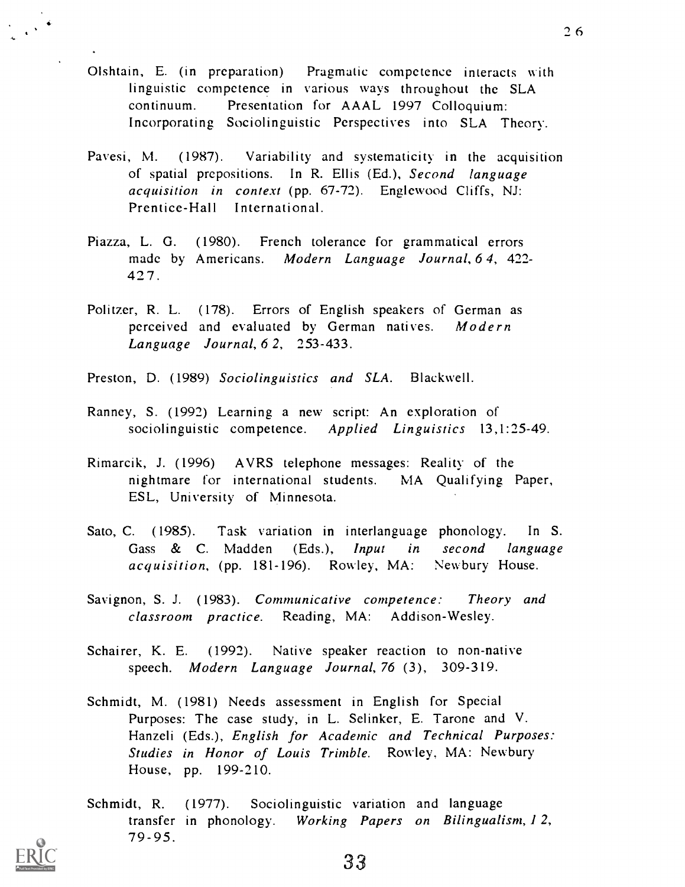- Olshtain, E. (in preparation) Pragmatic competence interacts with linguistic competence in various ways throughout the SLA continuum. Presentation for A AAL 1997 Colloquium: Incorporating Sociolinguistic Perspectives into SLA Theory.
- Pavesi, M. (1987). Variability and systematicity in the acquisition of spatial prepositions. In R. Ellis (Ed.), Second language acquisition in context (pp. 67-72). Englewood Cliffs, NJ: Prentice-Hall International.
- Piazza, L. G. (1980). French tolerance for grammatical errors made by Americans. Modern Language Journal, 6 4, 422- 42 7.
- Politzer, R. L. (178). Errors of English speakers of German as perceived and evaluated by German natives. Modern Language Journal, 6 2, 253-433.
- Preston, D. (1989) Sociolinguistics and SLA. Blackwell.
- Ranney, S. (1992) Learning a new script: An exploration of sociolinguistic competence. Applied Linguistics 13,1:25-49.
- Rimarcik, J. (1996) A VRS telephone messages: Reality of the nightmare for international students. MA Qualifying Paper, ESL, University of Minnesota.
- Sato, C. (1985). Task variation in interlanguage phonology. In S. Gass & C. Madden (Eds.), Input in second language acquisition, (pp. 181-196). Rowley, MA: Newbury House.
- Savignon, S. J. (1983). Communicative competence: Theory and classroom practice. Reading, MA: Addison-Wesley.
- Schairer, K. E. (1992). Native speaker reaction to non-native speech. Modern Language Journal, 76 (3), 309-319.
- Schmidt, M. (1981) Needs assessment in English for Special Purposes: The case study, in L. Selinker, E. Tarone and V. Hanzeli (Eds.), English for Academic and Technical Purposes: Studies in Honor of Louis Trimble. Rowley, MA: Newbury House, pp. 199-210.
- Schmidt, R. (1977). Sociolinguistic variation and language transfer in phonology. Working Papers on Bilingualism, 1 2,  $79 - 95$ .

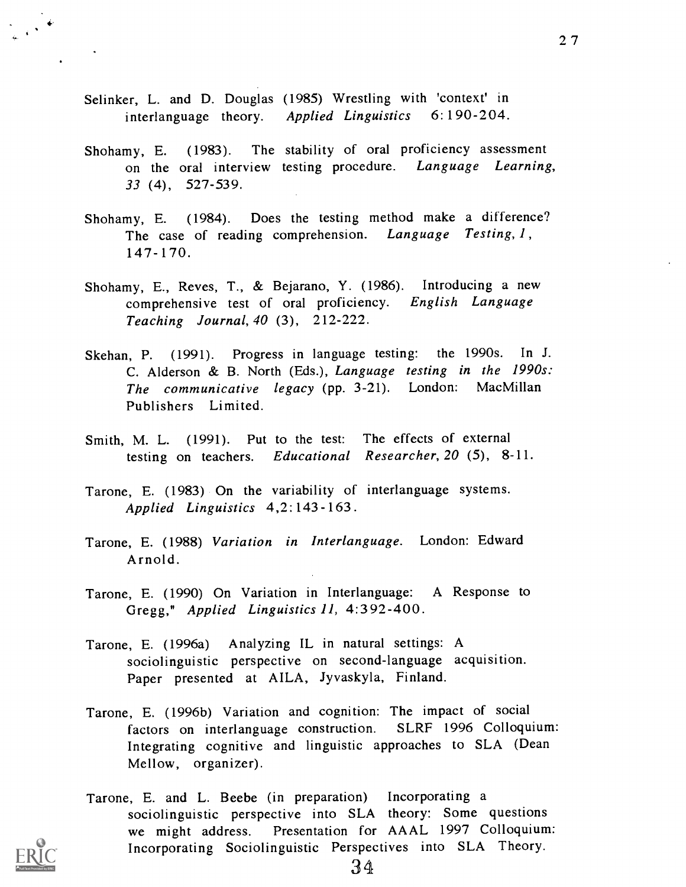- Selinker, L. and D. Douglas (1985) Wrestling with 'context' in interlanguage theory. Applied Linguistics 6:190-204.
- Shohamy, E. (1983). The stability of oral proficiency assessment on the oral interview testing procedure. Language Learning, 33 (4), 527 -539.
- Shohamy, E. (1984). Does the testing method make a difference? The case of reading comprehension. Language Testing, 1,  $147 - 170$ .
- Shohamy, E., Reyes, T., & Bejarano, Y. (1986). Introducing a new comprehensive test of oral proficiency. English Language Teaching Journal, 40 (3), 212-222.
- Skehan, P. (1991). Progress in language testing: the 1990s. In J. C. Alderson & B. North (Eds.), Language testing in the 1990s: The communicative legacy (pp. 3-21). London: MacMillan Publishers Limited.
- Smith, M. L. (1991). Put to the test: The effects of external testing on teachers. Educational Researcher, 20 (5), 8-11.
- Tarone, E. (1983) On the variability of interlanguage systems. Applied Linguistics 4,2:143-163.
- Tarone, E. (1988) Variation in Interlanguage. London: Edward Arnold.
- Tarone, E. (1990) On Variation in Interlanguage: A Response to Gregg," Applied Linguistics 11, 4:392-400.
- Tarone, E. (1996a) Analyzing IL in natural settings: A sociolinguistic perspective on second-language acquisition. Paper presented at AILA, Jyvaskyla, Finland.
- Tarone, E. (1996b) Variation and cognition: The impact of social factors on interlanguage construction. SLRF 1996 Colloquium: Integrating cognitive and linguistic approaches to SLA (Dean Mellow, organizer).
- Tarone, E. and L. Beebe (in preparation) Incorporating a sociolinguistic perspective into SLA theory: Some questions we might address. Presentation for AAAL 1997 Colloquium: Incorporating Sociolinguistic Perspectives into SLA Theory.

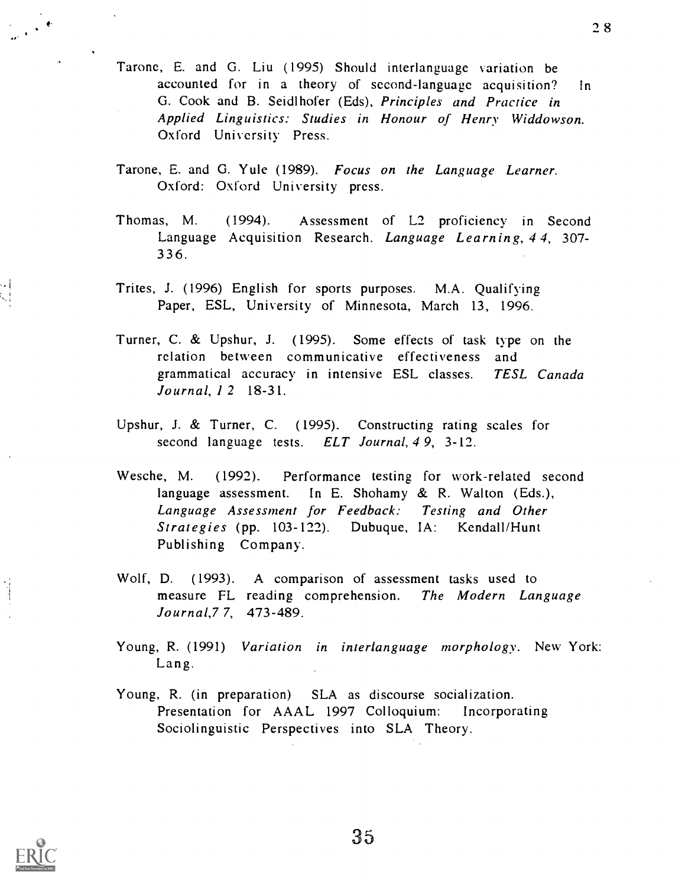- Tarone, E. and G. Liu (1995) Should interlanguage variation be accounted for in a theory of second-language acquisition? In G. Cook and B. Seidlhofer (Eds), Principles and Practice in Applied Linguistics: Studies in Honour of Henry Widdowson. Oxford University Press.
- Tarone, E. and G. Yule (1989). Focus on the Language Learner. Oxford: Oxford University press.
- Thomas, M. (1994). Assessment of L2 proficiency in Second Language Acquisition Research. Language Learning, 44, 307- 33 6.
- Trites, J. (1996) English for sports purposes. M.A. Qualifying Paper, ESL, University of Minnesota, March 13, 1996.
- Turner, C. & Upshur, J. (1995). Some effects of task type on the relation between communicative effectiveness and grammatical accuracy in intensive ESL classes. TESL Canada Journal, 1 2 18-31.
- Upshur, J. & Turner, C. (1995). Constructing rating scales for second language tests. ELT Journal, 49, 3-12.
- Wesche, M. (1992). Performance testing for work-related second language assessment. In E. Shohamy & R. Walton (Eds.), Language Assessment for Feedback: Testing and Other Strategies (pp. 103-122). Dubuque, IA: Kendall/Hunt Publishing Company.
- Wolf, D. (1993). A comparison of assessment tasks used to measure FL reading comprehension. The Modern Language Journal,7 7, 473-489.
- Young, R. (1991) Variation in interlanguage morphology. New York: Lang.
- Young, R. (in preparation) SLA as discourse socialization. Presentation for AAAL 1997 Colloquium: Incorporating Sociolinguistic Perspectives into SLA Theory.



?8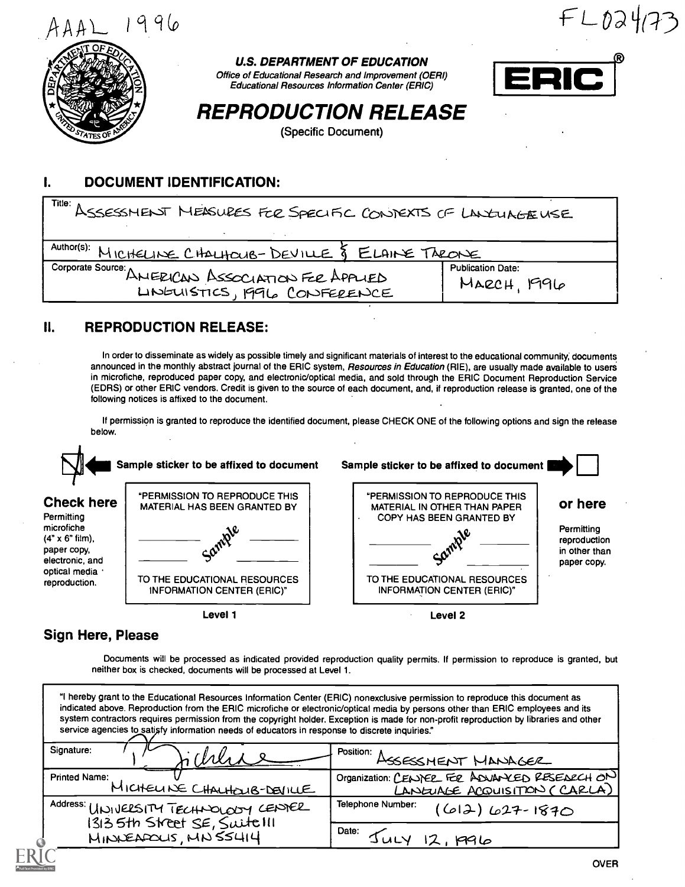

 $F L024(73)$ 



U.S. DEPARTMENT OF EDUCATION

Office of Educational Research and Improvement (OERI) Educational Resources Information Center (ERIC)



REPRODUCTION RELEASE

(Specific Document)

#### I. DOCUMENT IDENTIFICATION:

| Title: ASSESSMENT MEASURES FOR SPECIFIC CONTEXTS OF LANGUAGENSE                    |                                         |  |  |  |  |
|------------------------------------------------------------------------------------|-----------------------------------------|--|--|--|--|
| Author(s): MICHELINE CHALHOUB-DEVILLE & ELAINE TAEONE                              |                                         |  |  |  |  |
| Corporate Source: ANERICAN ASSOCIATION FER APPLIED<br>LINGUISTICS, 1996 CONFERENCE | <b>Publication Date:</b><br>MARCH, 1996 |  |  |  |  |

# II. REPRODUCTION RELEASE:

In order to disseminate as widely as possible timely and significant materials of interest to the educational community; documents announced in the monthly abstract journal of the ERIC system, Resources in Education (RIE), are usually made available to users in microfiche, reproduced paper copy, and electronic/optical media, and sold through the ERIC Document Reproduction Service (EDRS) or other ERIC vendors. Credit is given to the source of each document, and, if reproduction release is granted, one of the following notices is affixed to the document.

If permission is granted to reproduce the identified document, please CHECK ONE of the following options and sign the release below.



## Sign Here, Please

Documents will be processed as indicated provided reproduction quality permits. If permission to reproduce is granted, but neither box is checked, documents will be processed at Level 1.

| "I hereby grant to the Educational Resources Information Center (ERIC) nonexclusive permission to reproduce this document as<br>indicated above. Reproduction from the ERIC microfiche or electronic/optical media by persons other than ERIC employees and its<br>system contractors requires permission from the copyright holder. Exception is made for non-profit reproduction by libraries and other<br>service agencies to satisfy information needs of educators in response to discrete inquiries." |                                                                               |  |  |  |  |
|-------------------------------------------------------------------------------------------------------------------------------------------------------------------------------------------------------------------------------------------------------------------------------------------------------------------------------------------------------------------------------------------------------------------------------------------------------------------------------------------------------------|-------------------------------------------------------------------------------|--|--|--|--|
| Signature:                                                                                                                                                                                                                                                                                                                                                                                                                                                                                                  | POSItion: ASSESSMENT MANAGER                                                  |  |  |  |  |
| <b>Printed Name:</b><br>MICHELINE CHALHOUB-DEVILLE                                                                                                                                                                                                                                                                                                                                                                                                                                                          | Organization: CENDER FER ADVANCED RESEARCH ON<br>LANGUAGE ACQUISITION (CARLA) |  |  |  |  |
| Address: UNIVERSITY TECHNOLOGY CENTER                                                                                                                                                                                                                                                                                                                                                                                                                                                                       | Telephone Number:<br>$(612) 627 - 1870$                                       |  |  |  |  |
| 1313 5th Street SE, Suitelli                                                                                                                                                                                                                                                                                                                                                                                                                                                                                | Date:                                                                         |  |  |  |  |